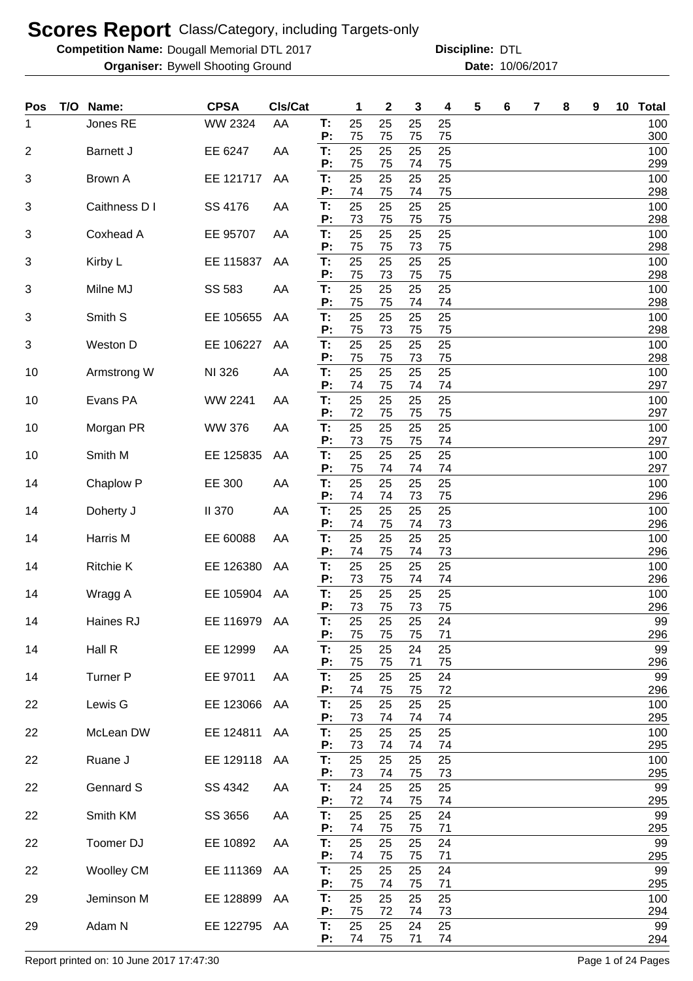**Competition Name: Dougall Memorial DTL 2017 https://www.powerflamerical DTL** 

**Organiser:** Bywell Shooting Ground **10/06/2017 Date:** 10/06/2017 **Discipline:**

| Pos            | T/O Name:         | <b>CPSA</b>    | CIs/Cat |                | 1              | $\mathbf 2$    | 3              | 4              | 5 | 6 | 7 | 8 | 9 | 10 | <b>Total</b>      |
|----------------|-------------------|----------------|---------|----------------|----------------|----------------|----------------|----------------|---|---|---|---|---|----|-------------------|
| 1              | Jones RE          | <b>WW 2324</b> | AA      | T:<br>P:       | 25<br>75       | 25<br>75       | 25<br>75       | 25<br>75       |   |   |   |   |   |    | 100<br>300        |
| $\overline{2}$ | Barnett J         | EE 6247        | AA      | T:             | 25             | 25             | 25             | 25             |   |   |   |   |   |    | 100               |
| 3              | Brown A           | EE 121717      | AA      | P:<br>T:       | 75<br>25       | 75<br>25       | 74<br>25       | 75<br>25       |   |   |   |   |   |    | 299<br>100        |
|                | Caithness D I     |                |         | P:<br>T:       | 74<br>25       | 75<br>25       | 74             | 75<br>25       |   |   |   |   |   |    | 298<br>100        |
| 3              |                   | SS 4176        | AA      | P:             | 73             | 75             | 25<br>75       | 75             |   |   |   |   |   |    | 298               |
| 3              | Coxhead A         | EE 95707       | AA      | T:<br>P:       | 25<br>75       | 25<br>75       | 25<br>73       | 25<br>75       |   |   |   |   |   |    | 100<br>298        |
| 3              | Kirby L           | EE 115837      | AA      | T:             | 25             | 25             | 25             | 25             |   |   |   |   |   |    | 100               |
| 3              | Milne MJ          | SS 583         | AA      | P:<br>T:<br>Ρ: | 75<br>25<br>75 | 73<br>25<br>75 | 75<br>25<br>74 | 75<br>25<br>74 |   |   |   |   |   |    | 298<br>100<br>298 |
| 3              | Smith S           | EE 105655      | AA      | T:             | 25             | 25             | 25             | 25             |   |   |   |   |   |    | 100               |
| 3              | Weston D          | EE 106227      | AA      | Ρ:<br>T:       | 75<br>25       | 73<br>25       | 75<br>25       | 75<br>25       |   |   |   |   |   |    | 298<br>100        |
| 10             | Armstrong W       | NI 326         | AA      | Ρ:<br>T:       | 75<br>25       | 75<br>25       | 73<br>25       | 75<br>25       |   |   |   |   |   |    | 298<br>100        |
|                |                   |                |         | P:             | 74             | 75             | 74             | 74             |   |   |   |   |   |    | 297               |
| 10             | Evans PA          | WW 2241        | AA      | T:<br>P:       | 25<br>72       | 25<br>75       | 25<br>75       | 25<br>75       |   |   |   |   |   |    | 100<br>297        |
| 10             | Morgan PR         | <b>WW 376</b>  | AA      | T:<br>P:       | 25<br>73       | 25<br>75       | 25<br>75       | 25<br>74       |   |   |   |   |   |    | 100<br>297        |
| 10             | Smith M           | EE 125835      | AA      | T:             | 25             | 25             | 25             | 25             |   |   |   |   |   |    | 100               |
| 14             | Chaplow P         | EE 300         | AA      | Ρ.<br>T:       | 75<br>25       | 74<br>25       | 74<br>25       | 74<br>25       |   |   |   |   |   |    | 297<br>100        |
|                |                   |                |         | Ρ.             | 74             | 74             | 73             | 75             |   |   |   |   |   |    | 296               |
| 14             | Doherty J         | <b>II 370</b>  | AA      | T:<br>Ρ:       | 25<br>74       | 25<br>75       | 25<br>74       | 25<br>73       |   |   |   |   |   |    | 100<br>296        |
| 14             | Harris M          | EE 60088       | AA      | T:<br>Ρ.       | 25<br>74       | 25<br>75       | 25<br>74       | 25<br>73       |   |   |   |   |   |    | 100<br>296        |
| 14             | <b>Ritchie K</b>  | EE 126380      | AA      | T:             | 25             | 25             | 25             | 25             |   |   |   |   |   |    | 100               |
| 14             | Wragg A           | EE 105904      | AA      | P:<br>T:       | 73<br>25       | 75<br>25       | 74<br>25       | 74<br>25       |   |   |   |   |   |    | 296<br>100        |
| 14             | Haines RJ         | EE 116979      | AA      | P:<br>Т.       | 73<br>25       | 75<br>25       | 73<br>25       | 75<br>24       |   |   |   |   |   |    | 296<br>99         |
|                |                   |                |         | P:             | 75             | 75             | 75             | 71             |   |   |   |   |   |    | 296               |
| 14             | Hall R            | EE 12999       | AA      | T:<br>P:       | 25<br>75       | 25<br>75       | 24<br>71       | 25<br>75       |   |   |   |   |   |    | 99<br>296         |
| 14             | <b>Turner P</b>   | EE 97011       | AA      | T:<br>Ρ.       | 25<br>74       | 25<br>75       | 25<br>75       | 24<br>72       |   |   |   |   |   |    | 99<br>296         |
| 22             | Lewis G           | EE 123066      | AA      | T:             | 25             | 25             | 25             | 25             |   |   |   |   |   |    | 100               |
| 22             | McLean DW         | EE 124811      | AA      | P:<br>T:       | 73<br>25       | 74<br>25       | 74<br>25       | 74<br>25       |   |   |   |   |   |    | 295<br>100        |
|                |                   |                |         | P:             | 73             | 74             | 74             | 74             |   |   |   |   |   |    | 295               |
| 22             | Ruane J           | EE 129118      | AA      | T:<br>P:       | 25<br>73       | 25<br>74       | 25<br>75       | 25<br>73       |   |   |   |   |   |    | 100<br>295        |
| 22             | Gennard S         | SS 4342        | AA      | T:<br>Ρ:       | 24<br>72       | 25<br>74       | 25<br>75       | 25<br>74       |   |   |   |   |   |    | 99<br>295         |
| 22             | Smith KM          | SS 3656        | AA      | T:<br>Ρ:       | 25<br>74       | 25<br>75       | 25<br>75       | 24<br>71       |   |   |   |   |   |    | 99<br>295         |
| 22             | Toomer DJ         | EE 10892       | AA      | T:             | 25             | 25             | 25             | 24             |   |   |   |   |   |    | 99                |
| 22             | <b>Woolley CM</b> | EE 111369      | AA      | Ρ:<br>T:       | 74<br>25       | 75<br>25       | 75<br>25       | 71<br>24       |   |   |   |   |   |    | 295<br>99         |
| 29             | Jeminson M        | EE 128899      | AA      | P:<br>T:       | 75<br>25       | 74<br>25       | 75<br>25       | 71<br>25       |   |   |   |   |   |    | 295<br>100        |
| 29             | Adam N            | EE 122795 AA   |         | P:<br>T:       | 75<br>25       | 72<br>25       | 74<br>24       | 73<br>25       |   |   |   |   |   |    | 294<br>99         |
|                |                   |                |         | P:             | 74             | 75             | 71             | 74             |   |   |   |   |   |    | 294               |

Report printed on: 10 June 2017 17:47:30 Page 1 of 24 Pages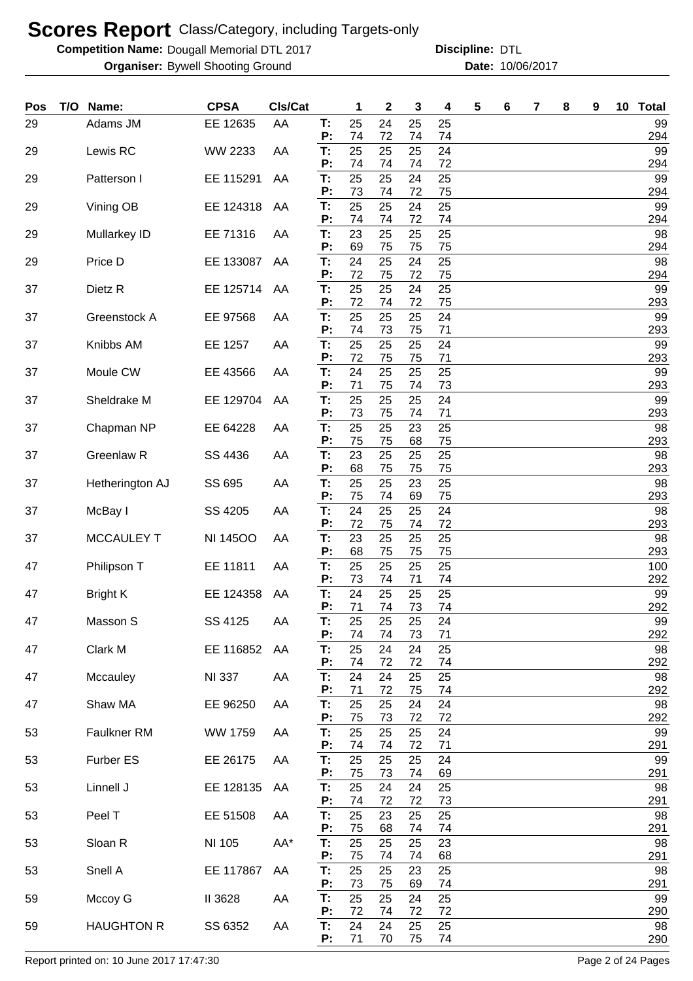**Competition Name: Dougall Memorial DTL 2017 https://www.powerflamerical DTL** 

**Organiser:** Bywell Shooting Ground **10/06/2017 Date:** 10/06/2017 **Discipline:**

| Pos | T/O | Name:              | <b>CPSA</b>     | CIs/Cat |          | 1        | 2        | 3        | 4        | 5 | 6 | 7 | 8 | 9 | 10 Total  |
|-----|-----|--------------------|-----------------|---------|----------|----------|----------|----------|----------|---|---|---|---|---|-----------|
| 29  |     | Adams JM           | EE 12635        | AA      | T:<br>P: | 25<br>74 | 24<br>72 | 25<br>74 | 25<br>74 |   |   |   |   |   | 99<br>294 |
| 29  |     | Lewis RC           | WW 2233         | AA      | T:       | 25       | 25       | 25       | 24       |   |   |   |   |   | 99        |
| 29  |     | Patterson I        | EE 115291       | AA      | P:<br>T: | 74<br>25 | 74<br>25 | 74<br>24 | 72<br>25 |   |   |   |   |   | 294<br>99 |
| 29  |     | Vining OB          | EE 124318       | AA      | P:<br>T: | 73<br>25 | 74<br>25 | 72<br>24 | 75<br>25 |   |   |   |   |   | 294<br>99 |
|     |     |                    |                 |         | P:       | 74       | 74       | 72       | 74       |   |   |   |   |   | 294       |
| 29  |     | Mullarkey ID       | EE 71316        | AA      | T:<br>P: | 23<br>69 | 25<br>75 | 25<br>75 | 25<br>75 |   |   |   |   |   | 98<br>294 |
| 29  |     | Price D            | EE 133087       | AA      | Т:<br>P: | 24<br>72 | 25<br>75 | 24<br>72 | 25<br>75 |   |   |   |   |   | 98<br>294 |
| 37  |     | Dietz <sub>R</sub> | EE 125714       | AA      | T:       | 25       | 25       | 24       | 25       |   |   |   |   |   | 99        |
| 37  |     | Greenstock A       | EE 97568        | AA      | P:<br>T: | 72<br>25 | 74<br>25 | 72<br>25 | 75<br>24 |   |   |   |   |   | 293<br>99 |
| 37  |     | Knibbs AM          | EE 1257         | AA      | P:<br>T: | 74<br>25 | 73<br>25 | 75<br>25 | 71<br>24 |   |   |   |   |   | 293<br>99 |
|     |     |                    |                 |         | P:       | 72       | 75       | 75       | 71       |   |   |   |   |   | 293       |
| 37  |     | Moule CW           | EE 43566        | AA      | T:<br>P: | 24<br>71 | 25<br>75 | 25<br>74 | 25<br>73 |   |   |   |   |   | 99<br>293 |
| 37  |     | Sheldrake M        | EE 129704       | AA      | Т:<br>P: | 25<br>73 | 25<br>75 | 25<br>74 | 24<br>71 |   |   |   |   |   | 99<br>293 |
| 37  |     | Chapman NP         | EE 64228        | AA      | T:       | 25       | 25       | 23       | 25       |   |   |   |   |   | 98        |
| 37  |     | Greenlaw R         | SS 4436         | AA      | P:<br>T: | 75<br>23 | 75<br>25 | 68<br>25 | 75<br>25 |   |   |   |   |   | 293<br>98 |
| 37  |     | Hetherington AJ    | SS 695          | AA      | P:<br>T: | 68<br>25 | 75<br>25 | 75<br>23 | 75<br>25 |   |   |   |   |   | 293<br>98 |
|     |     |                    |                 |         | P:       | 75       | 74       | 69       | 75       |   |   |   |   |   | 293       |
| 37  |     | McBay I            | SS 4205         | AA      | T:<br>P: | 24<br>72 | 25<br>75 | 25<br>74 | 24<br>72 |   |   |   |   |   | 98<br>293 |
| 37  |     | <b>MCCAULEY T</b>  | <b>NI 14500</b> | AA      | T:<br>P: | 23<br>68 | 25<br>75 | 25<br>75 | 25<br>75 |   |   |   |   |   | 98<br>293 |
| 47  |     | Philipson T        | EE 11811        | AA      | T:       | 25       | 25       | 25       | 25       |   |   |   |   |   | 100       |
| 47  |     | <b>Bright K</b>    | EE 124358       | AA      | P:<br>T: | 73<br>24 | 74<br>25 | 71<br>25 | 74<br>25 |   |   |   |   |   | 292<br>99 |
| 47  |     | Masson S           | SS 4125         | AA      | P:<br>Т. | 71<br>25 | 74<br>25 | 73<br>25 | 74<br>24 |   |   |   |   |   | 292<br>99 |
|     |     |                    |                 |         | P:       | 74       | 74       | 73       | 71       |   |   |   |   |   | 292       |
| 47  |     | Clark M            | EE 116852       | AA      | T:<br>P: | 25<br>74 | 24<br>72 | 24<br>72 | 25<br>74 |   |   |   |   |   | 98<br>292 |
| 47  |     | Mccauley           | <b>NI 337</b>   | AA      | T:<br>P: | 24<br>71 | 24<br>72 | 25<br>75 | 25<br>74 |   |   |   |   |   | 98<br>292 |
| 47  |     | Shaw MA            | EE 96250        | AA      | T:       | 25       | 25       | 24       | 24       |   |   |   |   |   | 98        |
| 53  |     | Faulkner RM        | WW 1759         | AA      | P:<br>T: | 75<br>25 | 73<br>25 | 72<br>25 | 72<br>24 |   |   |   |   |   | 292<br>99 |
| 53  |     | Furber ES          | EE 26175        | AA      | P:<br>T: | 74<br>25 | 74<br>25 | 72<br>25 | 71<br>24 |   |   |   |   |   | 291<br>99 |
|     |     |                    |                 |         | P:       | 75       | 73       | 74       | 69       |   |   |   |   |   | 291       |
| 53  |     | Linnell J          | EE 128135       | AA      | T:<br>P: | 25<br>74 | 24<br>72 | 24<br>72 | 25<br>73 |   |   |   |   |   | 98<br>291 |
| 53  |     | Peel T             | EE 51508        | AA      | T:<br>P: | 25<br>75 | 23<br>68 | 25<br>74 | 25<br>74 |   |   |   |   |   | 98<br>291 |
| 53  |     | Sloan R            | NI 105          | AA*     | T:       | 25       | 25       | 25       | 23       |   |   |   |   |   | 98        |
| 53  |     | Snell A            | EE 117867       | AA      | P:<br>T: | 75<br>25 | 74<br>25 | 74<br>23 | 68<br>25 |   |   |   |   |   | 291<br>98 |
| 59  |     | Mccoy G            | II 3628         | AA      | P:<br>T: | 73<br>25 | 75<br>25 | 69<br>24 | 74<br>25 |   |   |   |   |   | 291<br>99 |
|     |     |                    |                 |         | P:       | 72       | 74       | 72       | 72       |   |   |   |   |   | 290       |
| 59  |     | <b>HAUGHTON R</b>  | SS 6352         | AA      | T:<br>P: | 24<br>71 | 24<br>70 | 25<br>75 | 25<br>74 |   |   |   |   |   | 98<br>290 |

Report printed on: 10 June 2017 17:47:30 Page 2 of 24 Pages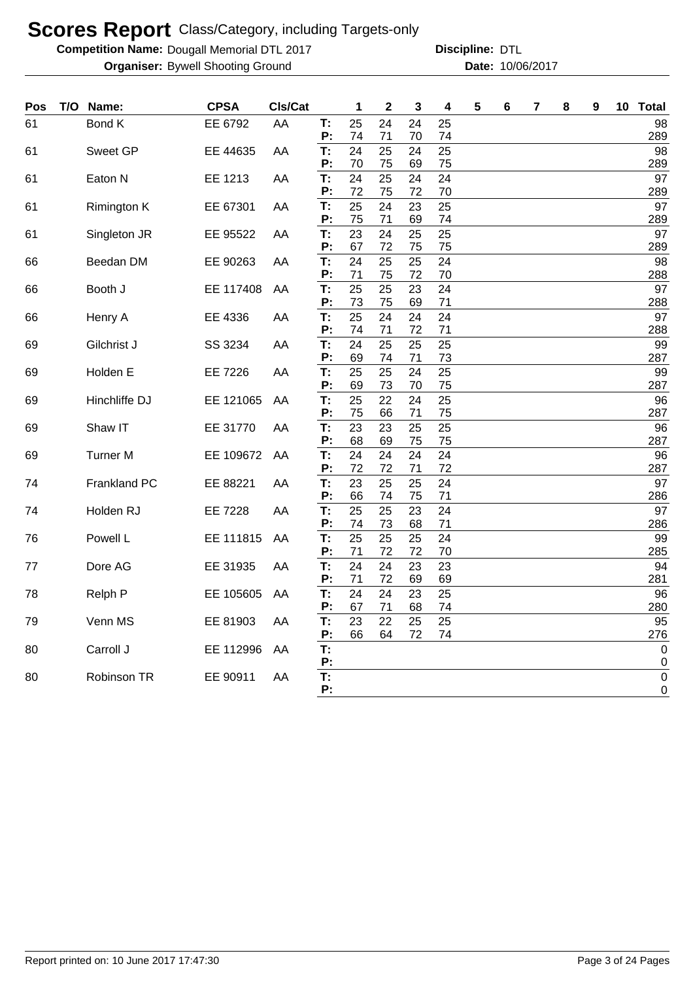**Competition Name: Dougall Memorial DTL 2017 https://www.powerflamerical DTL** 

| Pos | T/O | Name:               | <b>CPSA</b>    | Cls/Cat |          | 1        | $\mathbf 2$ | 3        | 4        | 5 | 6 | 7 | 8 | 9 | 10 | <b>Total</b>       |
|-----|-----|---------------------|----------------|---------|----------|----------|-------------|----------|----------|---|---|---|---|---|----|--------------------|
| 61  |     | <b>Bond K</b>       | EE 6792        | AA      | T:       | 25       | 24          | 24       | 25       |   |   |   |   |   |    | 98                 |
|     |     |                     |                |         | P:       | 74       | 71          | 70       | 74       |   |   |   |   |   |    | 289                |
| 61  |     | Sweet GP            | EE 44635       | AA      | T:       | 24       | 25          | 24       | 25       |   |   |   |   |   |    | 98                 |
|     |     |                     |                |         | P:       | 70       | 75          | 69       | 75       |   |   |   |   |   |    | 289                |
| 61  |     | Eaton N             | EE 1213        | AA      | T:<br>P: | 24<br>72 | 25<br>75    | 24<br>72 | 24<br>70 |   |   |   |   |   |    | 97<br>289          |
| 61  |     | Rimington K         | EE 67301       | AA      | T:       | 25       | 24          | 23       | 25       |   |   |   |   |   |    | 97                 |
|     |     |                     |                |         | P:       | 75       | 71          | 69       | 74       |   |   |   |   |   |    | 289                |
| 61  |     | Singleton JR        | EE 95522       | AA      | T:       | 23       | 24          | 25       | 25       |   |   |   |   |   |    | 97                 |
|     |     |                     |                |         | P:       | 67       | 72          | 75       | 75       |   |   |   |   |   |    | 289                |
| 66  |     | Beedan DM           | EE 90263       | AA      | T:       | 24       | 25          | 25       | 24       |   |   |   |   |   |    | 98                 |
|     |     |                     |                |         | P:       | 71       | 75          | 72       | 70       |   |   |   |   |   |    | 288                |
| 66  |     | Booth J             | EE 117408      | AA      | T:<br>P: | 25<br>73 | 25<br>75    | 23<br>69 | 24<br>71 |   |   |   |   |   |    | 97<br>288          |
| 66  |     | Henry A             | EE 4336        | ΑA      | T:       | 25       | 24          | 24       | 24       |   |   |   |   |   |    | 97                 |
|     |     |                     |                |         | P:       | 74       | 71          | 72       | 71       |   |   |   |   |   |    | 288                |
| 69  |     | Gilchrist J         | SS 3234        | AA      | T:       | 24       | 25          | 25       | 25       |   |   |   |   |   |    | 99                 |
|     |     |                     |                |         | P:       | 69       | 74          | 71       | 73       |   |   |   |   |   |    | 287                |
| 69  |     | Holden E            | EE 7226        | AA      | T:       | 25       | 25          | 24       | 25       |   |   |   |   |   |    | 99                 |
|     |     |                     |                |         | P:       | 69       | 73          | 70       | 75       |   |   |   |   |   |    | 287                |
| 69  |     | Hinchliffe DJ       | EE 121065      | AA      | T:<br>P: | 25<br>75 | 22<br>66    | 24<br>71 | 25<br>75 |   |   |   |   |   |    | 96<br>287          |
| 69  |     | Shaw IT             | EE 31770       | AA      | T:       | 23       | 23          | 25       | 25       |   |   |   |   |   |    | 96                 |
|     |     |                     |                |         | P:       | 68       | 69          | 75       | 75       |   |   |   |   |   |    | 287                |
| 69  |     | <b>Turner M</b>     | EE 109672      | AA      | T:       | 24       | 24          | 24       | 24       |   |   |   |   |   |    | 96                 |
|     |     |                     |                |         | P:       | 72       | 72          | 71       | 72       |   |   |   |   |   |    | 287                |
| 74  |     | <b>Frankland PC</b> | EE 88221       | AA      | T:       | 23       | 25          | 25       | 24       |   |   |   |   |   |    | 97                 |
|     |     |                     |                |         | P:       | 66       | 74          | 75       | 71       |   |   |   |   |   |    | 286                |
| 74  |     | Holden RJ           | <b>EE 7228</b> | AA      | T:<br>P: | 25<br>74 | 25<br>73    | 23<br>68 | 24<br>71 |   |   |   |   |   |    | 97<br>286          |
| 76  |     | Powell L            | EE 111815      | AA      | T:       | 25       | 25          | 25       | 24       |   |   |   |   |   |    | 99                 |
|     |     |                     |                |         | P:       | 71       | 72          | 72       | 70       |   |   |   |   |   |    | 285                |
| 77  |     | Dore AG             | EE 31935       | AA      | T:       | 24       | 24          | 23       | 23       |   |   |   |   |   |    | 94                 |
|     |     |                     |                |         | P:       | 71       | 72          | 69       | 69       |   |   |   |   |   |    | 281                |
| 78  |     | Relph P             | EE 105605      | AA      | T:       | 24       | 24          | 23       | 25       |   |   |   |   |   |    | 96                 |
|     |     |                     |                |         | P:       | 67       | 71          | 68       | 74       |   |   |   |   |   |    | 280                |
| 79  |     | Venn MS             | EE 81903       | AA      | T:       | 23       | 22          | 25<br>72 | 25       |   |   |   |   |   |    | 95                 |
|     |     | Carroll J           | EE 112996      |         | P:<br>T: | 66       | 64          |          | 74       |   |   |   |   |   |    | 276<br>$\mathbf 0$ |
| 80  |     |                     |                | AA      | P:       |          |             |          |          |   |   |   |   |   |    | 0                  |
| 80  |     | Robinson TR         | EE 90911       | AA      | T:       |          |             |          |          |   |   |   |   |   |    | $\boldsymbol{0}$   |
|     |     |                     |                |         | P:       |          |             |          |          |   |   |   |   |   |    | 0                  |
|     |     |                     |                |         |          |          |             |          |          |   |   |   |   |   |    |                    |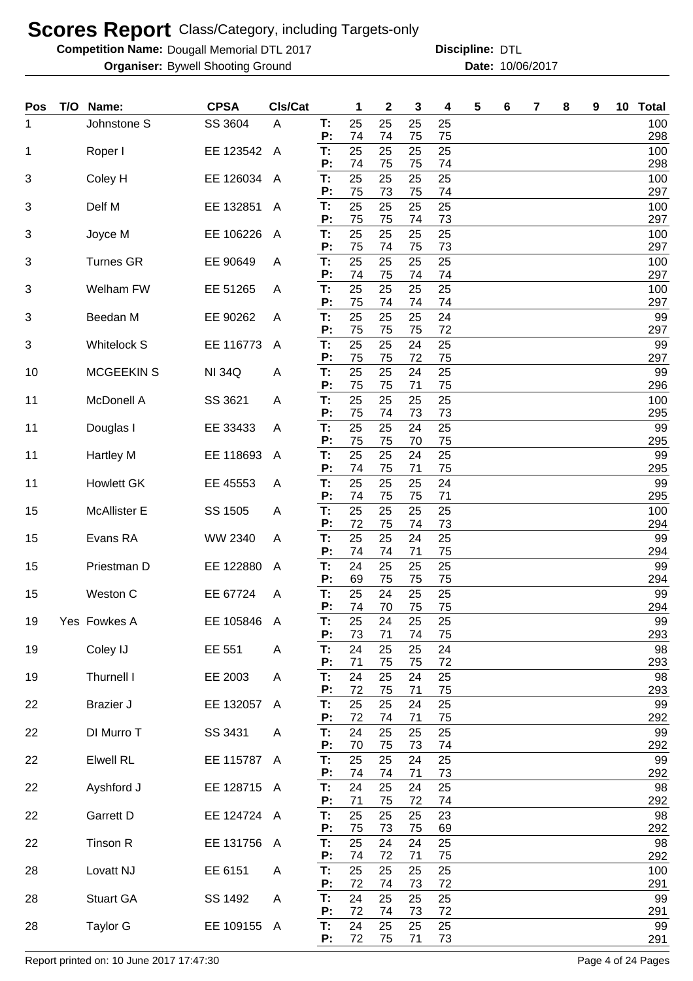**Competition Name: Dougall Memorial DTL 2017 https://www.powerflamerical DTL** 

**Organiser:** Bywell Shooting Ground **10/06/2017 Date:** 10/06/2017 **Discipline:**

| <b>Pos</b> | T/O | Name:              | <b>CPSA</b>   | CIs/Cat      |          | 1        | 2        | 3        | 4        | 5 | 6 | 7 | 8 | 9 | 10 <sup>°</sup> | <b>Total</b> |
|------------|-----|--------------------|---------------|--------------|----------|----------|----------|----------|----------|---|---|---|---|---|-----------------|--------------|
| 1          |     | Johnstone S        | SS 3604       | A            | Т.<br>P: | 25<br>74 | 25<br>74 | 25<br>75 | 25<br>75 |   |   |   |   |   |                 | 100<br>298   |
| 1          |     | Roper I            | EE 123542     | $\mathsf{A}$ | T:       | 25       | 25       | 25       | 25       |   |   |   |   |   |                 | 100          |
| 3          |     | Coley H            | EE 126034     | A            | P:<br>T: | 74<br>25 | 75<br>25 | 75<br>25 | 74<br>25 |   |   |   |   |   |                 | 298<br>100   |
|            |     | Delf M             |               |              | P:<br>T: | 75<br>25 | 73<br>25 | 75       | 74       |   |   |   |   |   |                 | 297          |
| $\sqrt{3}$ |     |                    | EE 132851     | $\mathsf{A}$ | P:       | 75       | 75       | 25<br>74 | 25<br>73 |   |   |   |   |   |                 | 100<br>297   |
| 3          |     | Joyce M            | EE 106226     | $\mathsf{A}$ | T:<br>P: | 25<br>75 | 25<br>74 | 25<br>75 | 25<br>73 |   |   |   |   |   |                 | 100<br>297   |
| 3          |     | <b>Turnes GR</b>   | EE 90649      | A            | T:       | 25       | 25       | 25       | 25       |   |   |   |   |   |                 | 100          |
| 3          |     | Welham FW          | EE 51265      | A            | P:<br>T: | 74<br>25 | 75<br>25 | 74<br>25 | 74<br>25 |   |   |   |   |   |                 | 297<br>100   |
| 3          |     | Beedan M           | EE 90262      | A            | P:<br>T: | 75<br>25 | 74<br>25 | 74<br>25 | 74<br>24 |   |   |   |   |   |                 | 297<br>99    |
| 3          |     | <b>Whitelock S</b> | EE 116773     | A            | P:<br>T: | 75<br>25 | 75<br>25 | 75<br>24 | 72<br>25 |   |   |   |   |   |                 | 297<br>99    |
|            |     |                    |               |              | P:       | 75       | 75       | 72       | 75       |   |   |   |   |   |                 | 297          |
| 10         |     | <b>MCGEEKIN S</b>  | <b>NI 34Q</b> | Α            | T:<br>P: | 25<br>75 | 25<br>75 | 24<br>71 | 25<br>75 |   |   |   |   |   |                 | 99<br>296    |
| 11         |     | McDonell A         | SS 3621       | A            | T:<br>P: | 25<br>75 | 25<br>74 | 25<br>73 | 25<br>73 |   |   |   |   |   |                 | 100<br>295   |
| 11         |     | Douglas I          | EE 33433      | A            | Т:       | 25       | 25       | 24       | 25       |   |   |   |   |   |                 | 99           |
| 11         |     | <b>Hartley M</b>   | EE 118693     | A            | P:<br>Т: | 75<br>25 | 75<br>25 | 70<br>24 | 75<br>25 |   |   |   |   |   |                 | 295<br>99    |
| 11         |     | <b>Howlett GK</b>  | EE 45553      |              | P:<br>Т: | 74<br>25 | 75<br>25 | 71<br>25 | 75<br>24 |   |   |   |   |   |                 | 295<br>99    |
|            |     |                    |               | A            | P:       | 74       | 75       | 75       | 71       |   |   |   |   |   |                 | 295          |
| 15         |     | McAllister E       | SS 1505       | A            | Т:<br>P: | 25<br>72 | 25<br>75 | 25<br>74 | 25<br>73 |   |   |   |   |   |                 | 100<br>294   |
| 15         |     | Evans RA           | WW 2340       | A            | T:<br>P: | 25<br>74 | 25<br>74 | 24<br>71 | 25<br>75 |   |   |   |   |   |                 | 99<br>294    |
| 15         |     | Priestman D        | EE 122880     | A            | Т:       | 24<br>69 | 25<br>75 | 25<br>75 | 25<br>75 |   |   |   |   |   |                 | 99           |
| 15         |     | Weston C           | EE 67724      | A            | P:<br>T: | 25       | 24       | 25       | 25       |   |   |   |   |   |                 | 294<br>99    |
| 19         |     | Yes Fowkes A       | EE 105846     | A            | P:<br>Т. | 74<br>25 | 70<br>24 | 75<br>25 | 75<br>25 |   |   |   |   |   |                 | 294<br>99    |
| 19         |     | Coley IJ           | EE 551        | A            | P:<br>T: | 73<br>24 | 71<br>25 | 74<br>25 | 75<br>24 |   |   |   |   |   |                 | 293<br>98    |
| 19         |     | Thurnell I         | EE 2003       | A            | P:<br>T: | 71<br>24 | 75<br>25 | 75<br>24 | 72<br>25 |   |   |   |   |   |                 | 293<br>98    |
|            |     |                    |               |              | P:       | 72       | 75       | 71       | 75       |   |   |   |   |   |                 | 293          |
| 22         |     | <b>Brazier J</b>   | EE 132057     | A            | T:<br>P: | 25<br>72 | 25<br>74 | 24<br>71 | 25<br>75 |   |   |   |   |   |                 | 99<br>292    |
| 22         |     | DI Murro T         | SS 3431       | A            | T:<br>P: | 24<br>70 | 25<br>75 | 25<br>73 | 25<br>74 |   |   |   |   |   |                 | 99<br>292    |
| 22         |     | <b>Elwell RL</b>   | EE 115787 A   |              | T:       | 25       | 25       | 24       | 25       |   |   |   |   |   |                 | 99           |
| 22         |     | Ayshford J         | EE 128715 A   |              | P:<br>T: | 74<br>24 | 74<br>25 | 71<br>24 | 73<br>25 |   |   |   |   |   |                 | 292<br>98    |
| 22         |     | Garrett D          | EE 124724 A   |              | P:<br>T: | 71<br>25 | 75<br>25 | 72<br>25 | 74<br>23 |   |   |   |   |   |                 | 292<br>98    |
|            |     |                    |               |              | P:       | 75       | 73       | 75       | 69       |   |   |   |   |   |                 | 292          |
| 22         |     | Tinson R           | EE 131756     | A            | Τ.<br>P: | 25<br>74 | 24<br>72 | 24<br>71 | 25<br>75 |   |   |   |   |   |                 | 98<br>292    |
| 28         |     | Lovatt NJ          | EE 6151       | A            | T:<br>P: | 25<br>72 | 25<br>74 | 25<br>73 | 25<br>72 |   |   |   |   |   |                 | 100<br>291   |
| 28         |     | <b>Stuart GA</b>   | SS 1492       | A            | T:       | 24       | 25       | 25       | 25       |   |   |   |   |   |                 | 99           |
| 28         |     | Taylor G           | EE 109155 A   |              | P:<br>T: | 72<br>24 | 74<br>25 | 73<br>25 | 72<br>25 |   |   |   |   |   |                 | 291<br>99    |
|            |     |                    |               |              | P:       | 72       | 75       | 71       | 73       |   |   |   |   |   |                 | 291          |

Report printed on: 10 June 2017 17:47:30 Page 4 of 24 Pages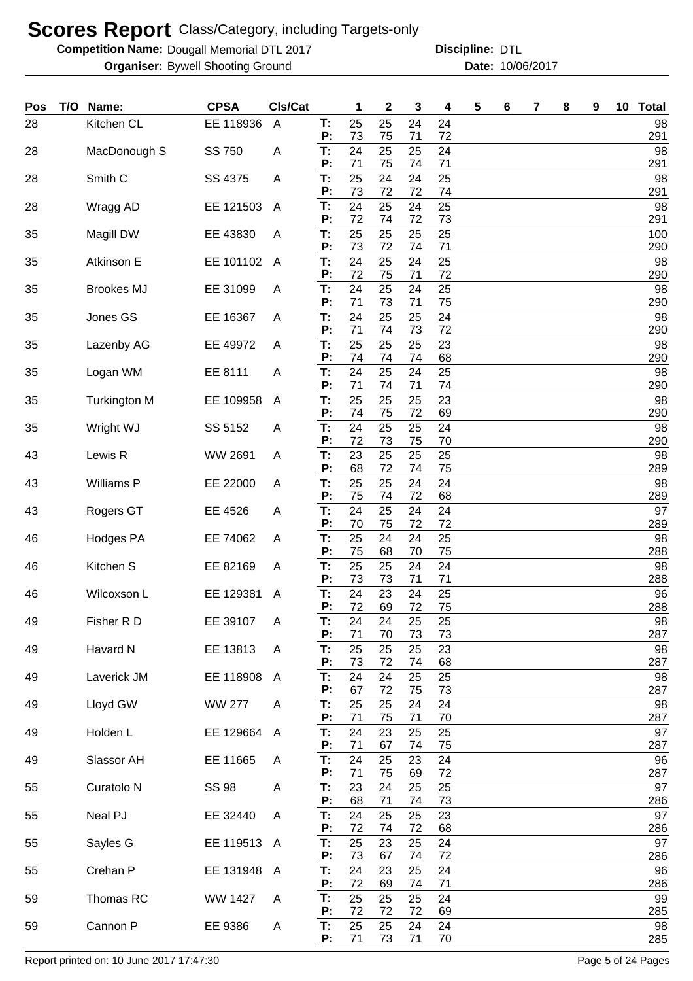**Competition Name: Dougall Memorial DTL 2017 https://www.powerflamerical DTL** 

**Organiser:** Bywell Shooting Ground **10/06/2017 Date:** 10/06/2017 **Discipline:**

| Pos | T/O Name:             | <b>CPSA</b>   | CIs/Cat                 |          | 1        | 2        | 3        | 4        | 5 | 6 | 7 | 8 | 9 | 10 | <b>Total</b> |
|-----|-----------------------|---------------|-------------------------|----------|----------|----------|----------|----------|---|---|---|---|---|----|--------------|
| 28  | Kitchen CL            | EE 118936     | $\overline{A}$          | Τ.<br>P: | 25<br>73 | 25<br>75 | 24<br>71 | 24<br>72 |   |   |   |   |   |    | 98<br>291    |
| 28  | MacDonough S          | SS 750        | A                       | Τ.       | 24       | 25       | 25       | 24       |   |   |   |   |   |    | 98           |
| 28  | Smith <sub>C</sub>    | SS 4375       | A                       | P:<br>Т: | 71<br>25 | 75<br>24 | 74<br>24 | 71<br>25 |   |   |   |   |   |    | 291<br>98    |
| 28  | Wragg AD              | EE 121503     | A                       | P:<br>T: | 73<br>24 | 72<br>25 | 72<br>24 | 74<br>25 |   |   |   |   |   |    | 291<br>98    |
|     |                       |               |                         | P:       | 72       | 74       | 72       | 73       |   |   |   |   |   |    | 291          |
| 35  | Magill DW             | EE 43830      | A                       | T:<br>Ρ: | 25<br>73 | 25<br>72 | 25<br>74 | 25<br>71 |   |   |   |   |   |    | 100<br>290   |
| 35  | Atkinson E            | EE 101102     | A                       | T:<br>Ρ: | 24<br>72 | 25<br>75 | 24<br>71 | 25<br>72 |   |   |   |   |   |    | 98<br>290    |
| 35  | <b>Brookes MJ</b>     | EE 31099      | A                       | T:       | 24       | 25       | 24       | 25       |   |   |   |   |   |    | 98           |
| 35  | Jones GS              | EE 16367      | A                       | Ρ:<br>Т: | 71<br>24 | 73<br>25 | 71<br>25 | 75<br>24 |   |   |   |   |   |    | 290<br>98    |
| 35  | Lazenby AG            | EE 49972      | A                       | Ρ:<br>T: | 71<br>25 | 74<br>25 | 73<br>25 | 72<br>23 |   |   |   |   |   |    | 290<br>98    |
|     |                       |               |                         | P:       | 74       | 74       | 74       | 68       |   |   |   |   |   |    | 290          |
| 35  | Logan WM              | EE 8111       | Α                       | T:<br>P: | 24<br>71 | 25<br>74 | 24<br>71 | 25<br>74 |   |   |   |   |   |    | 98<br>290    |
| 35  | <b>Turkington M</b>   | EE 109958     | A                       | T:<br>Ρ: | 25<br>74 | 25<br>75 | 25<br>72 | 23<br>69 |   |   |   |   |   |    | 98<br>290    |
| 35  | Wright WJ             | SS 5152       | A                       | T:       | 24       | 25       | 25       | 24       |   |   |   |   |   |    | 98           |
| 43  | Lewis R               | WW 2691       | A                       | P:<br>T: | 72<br>23 | 73<br>25 | 75<br>25 | 70<br>25 |   |   |   |   |   |    | 290<br>98    |
| 43  | Williams P            | EE 22000      | A                       | P:<br>T: | 68<br>25 | 72<br>25 | 74<br>24 | 75<br>24 |   |   |   |   |   |    | 289<br>98    |
|     |                       |               |                         | P:       | 75       | 74       | 72       | 68       |   |   |   |   |   |    | 289          |
| 43  | Rogers GT             | EE 4526       | A                       | T:<br>P: | 24<br>70 | 25<br>75 | 24<br>72 | 24<br>72 |   |   |   |   |   |    | 97<br>289    |
| 46  | <b>Hodges PA</b>      | EE 74062      | Α                       | T:<br>P: | 25<br>75 | 24<br>68 | 24<br>70 | 25<br>75 |   |   |   |   |   |    | 98<br>288    |
| 46  | Kitchen S             | EE 82169      | A                       | T:       | 25       | 25       | 24       | 24       |   |   |   |   |   |    | 98           |
| 46  | Wilcoxson L           | EE 129381     | A                       | P:<br>T: | 73<br>24 | 73<br>23 | 71<br>24 | 71<br>25 |   |   |   |   |   |    | 288<br>96    |
| 49  | Fisher R D            | EE 39107      | A                       | P:<br>Т: | 72<br>24 | 69<br>24 | 72<br>25 | 75<br>25 |   |   |   |   |   |    | 288<br>98    |
|     |                       |               |                         | P:       | 71       | 70       | 73       | 73       |   |   |   |   |   |    | 287          |
| 49  | Havard N              | EE 13813      | A                       | T:<br>P: | 25<br>73 | 25<br>72 | 25<br>74 | 23<br>68 |   |   |   |   |   |    | 98<br>287    |
| 49  | Laverick JM           | EE 118908     | $\mathsf{A}$            | T:<br>P: | 24<br>67 | 24<br>72 | 25<br>75 | 25<br>73 |   |   |   |   |   |    | 98<br>287    |
| 49  | Lloyd GW              | <b>WW 277</b> | A                       | T:       | 25       | 25       | 24       | 24       |   |   |   |   |   |    | 98           |
| 49  | Holden L              | EE 129664     | $\overline{\mathsf{A}}$ | P:<br>T: | 71<br>24 | 75<br>23 | 71<br>25 | 70<br>25 |   |   |   |   |   |    | 287<br>97    |
|     | Slassor AH            | EE 11665      |                         | Ρ:<br>T: | 71<br>24 | 67<br>25 | 74<br>23 | 75<br>24 |   |   |   |   |   |    | 287<br>96    |
| 49  |                       |               | Α                       | Ρ:       | 71       | 75       | 69       | 72       |   |   |   |   |   |    | 287          |
| 55  | Curatolo <sub>N</sub> | <b>SS 98</b>  | Α                       | T:<br>Ρ: | 23<br>68 | 24<br>71 | 25<br>74 | 25<br>73 |   |   |   |   |   |    | 97<br>286    |
| 55  | Neal PJ               | EE 32440      | A                       | T:<br>Ρ: | 24<br>72 | 25<br>74 | 25<br>72 | 23<br>68 |   |   |   |   |   |    | 97<br>286    |
| 55  | Sayles G              | EE 119513 A   |                         | Т:       | 25       | 23       | 25       | 24       |   |   |   |   |   |    | 97           |
| 55  | Crehan P              | EE 131948     | A                       | P:<br>T: | 73<br>24 | 67<br>23 | 74<br>25 | 72<br>24 |   |   |   |   |   |    | 286<br>96    |
|     |                       |               |                         | P:       | 72       | 69       | 74       | 71       |   |   |   |   |   |    | 286          |
| 59  | Thomas RC             | WW 1427       | A                       | T:<br>P: | 25<br>72 | 25<br>72 | 25<br>72 | 24<br>69 |   |   |   |   |   |    | 99<br>285    |
| 59  | Cannon P              | EE 9386       | Α                       | T:<br>P: | 25<br>71 | 25<br>73 | 24<br>71 | 24<br>70 |   |   |   |   |   |    | 98<br>285    |

Report printed on: 10 June 2017 17:47:30 Page 5 of 24 Pages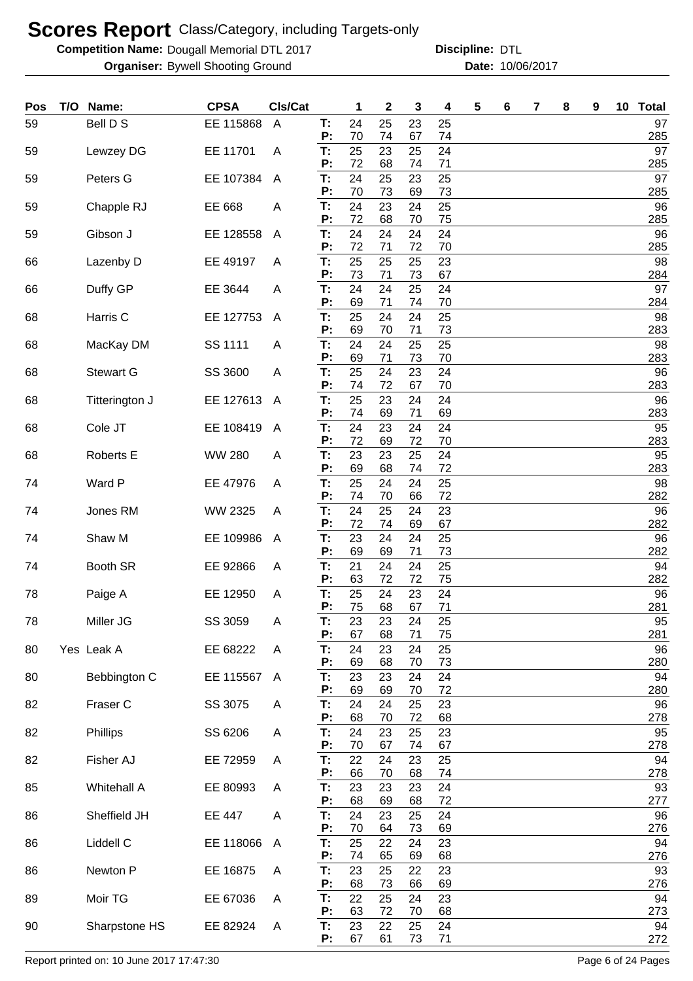**Competition Name: Dougall Memorial DTL 2017 https://www.powerflamerical DTL** 

**Organiser:** Bywell Shooting Ground **10/06/2017 Date:** 10/06/2017 **Discipline:**

| Pos | T/O Name:        | <b>CPSA</b>   | CIs/Cat        |          | 1        | $\mathbf 2$ | 3        | 4        | 5 | 6 | 7 | 8 | 9 | 10 Total  |
|-----|------------------|---------------|----------------|----------|----------|-------------|----------|----------|---|---|---|---|---|-----------|
| 59  | Bell D S         | EE 115868     | $\overline{A}$ | Т:<br>P: | 24<br>70 | 25<br>74    | 23<br>67 | 25<br>74 |   |   |   |   |   | 97<br>285 |
| 59  | Lewzey DG        | EE 11701      | A              | T:       | 25       | 23          | 25       | 24       |   |   |   |   |   | 97        |
| 59  | Peters G         | EE 107384     | $\mathsf{A}$   | P:<br>T: | 72<br>24 | 68<br>25    | 74<br>23 | 71<br>25 |   |   |   |   |   | 285<br>97 |
| 59  |                  | EE 668        | A              | P:<br>T: | 70<br>24 | 73<br>23    | 69<br>24 | 73<br>25 |   |   |   |   |   | 285<br>96 |
|     | Chapple RJ       |               |                | P:       | 72       | 68          | 70       | 75       |   |   |   |   |   | 285       |
| 59  | Gibson J         | EE 128558     | A              | T:<br>P: | 24<br>72 | 24<br>71    | 24<br>72 | 24<br>70 |   |   |   |   |   | 96<br>285 |
| 66  | Lazenby D        | EE 49197      | A              | T:       | 25       | 25          | 25       | 23       |   |   |   |   |   | 98        |
| 66  | Duffy GP         | EE 3644       | A              | P:<br>T: | 73<br>24 | 71<br>24    | 73<br>25 | 67<br>24 |   |   |   |   |   | 284<br>97 |
| 68  | Harris C         | EE 127753     | A              | P:<br>T: | 69<br>25 | 71<br>24    | 74<br>24 | 70<br>25 |   |   |   |   |   | 284<br>98 |
|     |                  |               |                | P:       | 69       | 70          | 71       | 73       |   |   |   |   |   | 283       |
| 68  | MacKay DM        | SS 1111       | A              | T:<br>P: | 24<br>69 | 24<br>71    | 25<br>73 | 25<br>70 |   |   |   |   |   | 98<br>283 |
| 68  | <b>Stewart G</b> | SS 3600       | A              | T:<br>P: | 25<br>74 | 24<br>72    | 23<br>67 | 24<br>70 |   |   |   |   |   | 96<br>283 |
| 68  | Titterington J   | EE 127613     | $\mathsf{A}$   | T:       | 25       | 23          | 24       | 24       |   |   |   |   |   | 96        |
| 68  | Cole JT          | EE 108419     | $\mathsf{A}$   | P:<br>T: | 74<br>24 | 69<br>23    | 71<br>24 | 69<br>24 |   |   |   |   |   | 283<br>95 |
|     |                  |               |                | P:       | 72       | 69          | 72       | 70       |   |   |   |   |   | 283       |
| 68  | Roberts E        | <b>WW 280</b> | A              | T:<br>P: | 23<br>69 | 23<br>68    | 25<br>74 | 24<br>72 |   |   |   |   |   | 95<br>283 |
| 74  | Ward P           | EE 47976      | A              | T:<br>P: | 25<br>74 | 24<br>70    | 24<br>66 | 25<br>72 |   |   |   |   |   | 98<br>282 |
| 74  | Jones RM         | WW 2325       | A              | Т:       | 24       | 25          | 24       | 23       |   |   |   |   |   | 96        |
| 74  | Shaw M           | EE 109986     | A              | P:<br>T: | 72<br>23 | 74<br>24    | 69<br>24 | 67<br>25 |   |   |   |   |   | 282<br>96 |
|     |                  |               |                | P:       | 69       | 69          | 71       | 73       |   |   |   |   |   | 282       |
| 74  | Booth SR         | EE 92866      | A              | Т:<br>P: | 21<br>63 | 24<br>72    | 24<br>72 | 25<br>75 |   |   |   |   |   | 94<br>282 |
| 78  | Paige A          | EE 12950      | A              | T:<br>P: | 25<br>75 | 24<br>68    | 23<br>67 | 24<br>71 |   |   |   |   |   | 96<br>281 |
| 78  | Miller JG        | SS 3059       | A              | Т:       | 23       | 23          | 24       | 25       |   |   |   |   |   | 95        |
| 80  | Yes Leak A       | EE 68222      | A              | P:<br>T: | 67<br>24 | 68<br>23    | 71<br>24 | 75<br>25 |   |   |   |   |   | 281<br>96 |
| 80  | Bebbington C     | EE 115567     | A              | P:<br>T: | 69<br>23 | 68<br>23    | 70<br>24 | 73<br>24 |   |   |   |   |   | 280<br>94 |
|     |                  |               |                | P:       | 69       | 69          | 70       | 72       |   |   |   |   |   | 280       |
| 82  | Fraser C         | SS 3075       | A              | T:<br>P: | 24<br>68 | 24<br>70    | 25<br>72 | 23<br>68 |   |   |   |   |   | 96<br>278 |
| 82  | Phillips         | SS 6206       | A              | T:<br>P: | 24<br>70 | 23<br>67    | 25       | 23       |   |   |   |   |   | 95        |
| 82  | Fisher AJ        | EE 72959      | A              | T:       | 22       | 24          | 74<br>23 | 67<br>25 |   |   |   |   |   | 278<br>94 |
| 85  | Whitehall A      | EE 80993      | A              | P:<br>T: | 66<br>23 | 70<br>23    | 68<br>23 | 74<br>24 |   |   |   |   |   | 278<br>93 |
|     |                  |               |                | P:       | 68       | 69          | 68       | 72       |   |   |   |   |   | 277       |
| 86  | Sheffield JH     | EE 447        | A              | T:<br>P: | 24<br>70 | 23<br>64    | 25<br>73 | 24<br>69 |   |   |   |   |   | 96<br>276 |
| 86  | Liddell C        | EE 118066     | $\mathsf{A}$   | T:<br>P: | 25<br>74 | 22<br>65    | 24<br>69 | 23<br>68 |   |   |   |   |   | 94<br>276 |
| 86  | Newton P         | EE 16875      | A              | T:       | 23       | 25          | 22       | 23       |   |   |   |   |   | 93        |
| 89  | Moir TG          | EE 67036      | A              | P:<br>T: | 68<br>22 | 73<br>25    | 66<br>24 | 69<br>23 |   |   |   |   |   | 276<br>94 |
|     |                  |               |                | P:       | 63       | 72          | 70       | 68       |   |   |   |   |   | 273       |
| 90  | Sharpstone HS    | EE 82924      | A              | T:<br>P: | 23<br>67 | 22<br>61    | 25<br>73 | 24<br>71 |   |   |   |   |   | 94<br>272 |

Report printed on: 10 June 2017 17:47:30 Page 6 of 24 Pages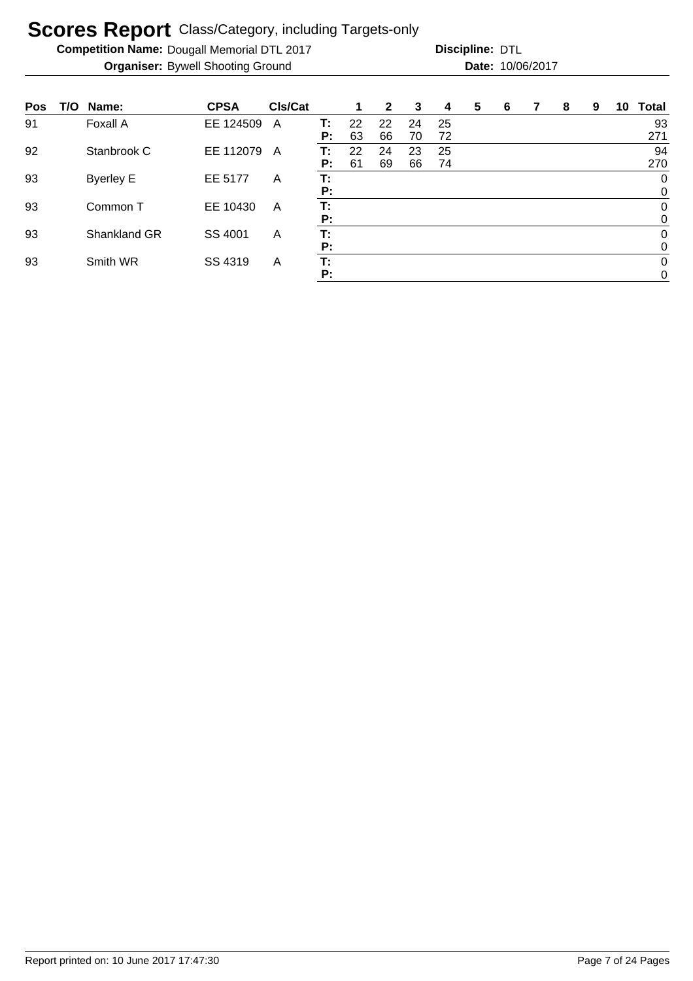**Competition Name: Dougall Memorial DTL 2017 https://www.powerflamerical DTL** 

| Pos | T/O | Name:            | <b>CPSA</b> | <b>CIs/Cat</b> |    | 1  | $\mathbf{2}$ | 3  | 4  | 5 | 6 | 7 | 8 | 9 | 10 | Total            |
|-----|-----|------------------|-------------|----------------|----|----|--------------|----|----|---|---|---|---|---|----|------------------|
| 91  |     | Foxall A         | EE 124509   | A              | т: | 22 | 22           | 24 | 25 |   |   |   |   |   |    | 93               |
|     |     |                  |             |                | P: | 63 | 66           | 70 | 72 |   |   |   |   |   |    | 271              |
| 92  |     | Stanbrook C      | EE 112079   | A              | т: | 22 | 24           | 23 | 25 |   |   |   |   |   |    | 94               |
|     |     |                  |             |                | P: | 61 | 69           | 66 | 74 |   |   |   |   |   |    | 270              |
| 93  |     | <b>Byerley E</b> | EE 5177     | A              | т: |    |              |    |    |   |   |   |   |   |    | 0                |
|     |     |                  |             |                | P: |    |              |    |    |   |   |   |   |   |    | 0                |
| 93  |     | Common T         | EE 10430    | A              | Т: |    |              |    |    |   |   |   |   |   |    | $\boldsymbol{0}$ |
|     |     |                  |             |                | P: |    |              |    |    |   |   |   |   |   |    | 0                |
| 93  |     | Shankland GR     | SS 4001     | A              | Т: |    |              |    |    |   |   |   |   |   |    | $\mathbf 0$      |
|     |     |                  |             |                | P: |    |              |    |    |   |   |   |   |   |    | 0                |
| 93  |     | Smith WR         | SS 4319     | A              | Т: |    |              |    |    |   |   |   |   |   |    | $\mathbf 0$      |
|     |     |                  |             |                | P: |    |              |    |    |   |   |   |   |   |    | $\mathbf 0$      |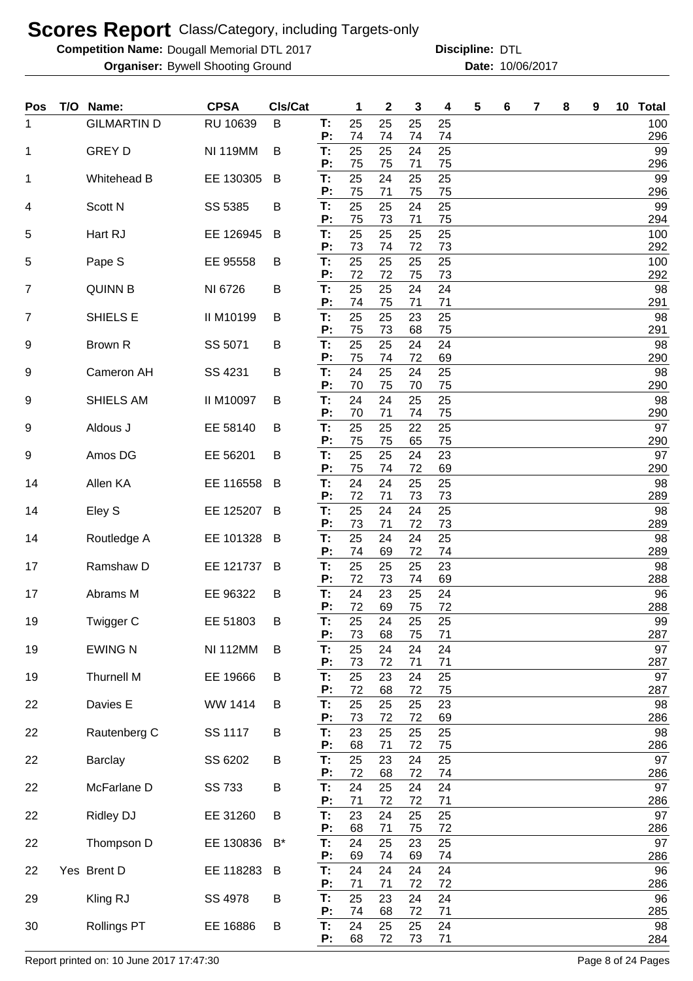**Competition Name: Dougall Memorial DTL 2017 https://www.powerflamerical DTL** 

**Organiser:** Bywell Shooting Ground **10/06/2017 Date:** 10/06/2017 **Discipline:**

| Pos | T/O Name:          | <b>CPSA</b>     | Cls/Cat |                | 1              | $\mathbf 2$    | 3              | 4              | 5 | 6 | 7 | 8 | 9 | 10 | <b>Total</b>     |
|-----|--------------------|-----------------|---------|----------------|----------------|----------------|----------------|----------------|---|---|---|---|---|----|------------------|
| 1   | <b>GILMARTIN D</b> | RU 10639        | B       | T.<br>P:       | 25<br>74       | 25<br>74       | 25<br>74       | 25<br>74       |   |   |   |   |   |    | 100<br>296       |
| 1   | <b>GREY D</b>      | <b>NI 119MM</b> | B       | T:             | 25             | 25             | 24             | 25             |   |   |   |   |   |    | 99               |
|     |                    | EE 130305       |         | P:<br>T:       | 75<br>25       | 75<br>24       | 71<br>25       | 75<br>25       |   |   |   |   |   |    | 296<br>99        |
| 1   | Whitehead B        |                 | B       | P:             | 75             | 71             | 75             | 75             |   |   |   |   |   |    | 296              |
| 4   | Scott N            | SS 5385         | В       | T:<br>P:       | 25<br>75       | 25<br>73       | 24<br>71       | 25<br>75       |   |   |   |   |   |    | 99<br>294        |
| 5   | Hart RJ            | EE 126945       | B       | T:<br>P:       | 25<br>73       | 25<br>74       | 25<br>72       | 25<br>73       |   |   |   |   |   |    | 100<br>292       |
| 5   | Pape S             | EE 95558        | B       | T:<br>P:       | 25<br>72       | 25<br>72       | 25<br>75       | 25<br>73       |   |   |   |   |   |    | 100<br>292       |
| 7   | <b>QUINN B</b>     | NI 6726         | Β       | T:<br>P:       | 25<br>74       | 25<br>75       | 24<br>71       | 24<br>71       |   |   |   |   |   |    | 98<br>291        |
| 7   | SHIELS E           | II M10199       | B       | T:<br>P:       | 25<br>75       | 25<br>73       | 23<br>68       | 25<br>75       |   |   |   |   |   |    | 98<br>291        |
| 9   | Brown R            | SS 5071         | B       | T:<br>P:       | 25<br>75       | 25<br>74       | 24<br>72       | 24<br>69       |   |   |   |   |   |    | 98<br>290        |
| 9   | Cameron AH         | SS 4231         | B       | T:<br>P:       | 24<br>70       | 25<br>75       | 24<br>70       | 25<br>75       |   |   |   |   |   |    | 98<br>290        |
| 9   | SHIELS AM          | II M10097       | B       | T:<br>P:       | 24<br>70       | 24<br>71       | 25<br>74       | 25<br>75       |   |   |   |   |   |    | 98<br>290        |
| 9   | Aldous J           | EE 58140        | B       | T:<br>P:       | 25<br>75       | 25<br>75       | 22<br>65       | 25<br>75       |   |   |   |   |   |    | 97<br>290        |
| 9   | Amos DG            | EE 56201        | B       | T:<br>P:       | 25             | 25             | 24             | 23             |   |   |   |   |   |    | 97               |
| 14  | Allen KA           | EE 116558       | B       | T:<br>P:       | 75<br>24<br>72 | 74<br>24       | 72<br>25       | 69<br>25       |   |   |   |   |   |    | 290<br>98        |
| 14  | Eley S             | EE 125207       | B       | T:             | 25<br>73       | 71<br>24<br>71 | 73<br>24       | 73<br>25<br>73 |   |   |   |   |   |    | 289<br>98        |
| 14  | Routledge A        | EE 101328       | B       | P:<br>T:<br>P: | 25<br>74       | 24<br>69       | 72<br>24<br>72 | 25<br>74       |   |   |   |   |   |    | 289<br>98<br>289 |
| 17  | Ramshaw D          | EE 121737       | B       | T:<br>P:       | 25<br>72       | 25<br>73       | 25<br>74       | 23<br>69       |   |   |   |   |   |    | 98<br>288        |
| 17  | Abrams M           | EE 96322        | B       | T:<br>P:       | 24<br>72       | 23<br>69       | 25<br>75       | 24<br>72       |   |   |   |   |   |    | 96<br>288        |
| 19  | Twigger C          | EE 51803        | Β       | Т:<br>P:       | 25<br>73       | 24<br>68       | 25<br>75       | 25<br>71       |   |   |   |   |   |    | 99<br>287        |
| 19  | <b>EWING N</b>     | <b>NI 112MM</b> | B       | T:<br>P:       | 25<br>73       | 24<br>72       | 24<br>71       | 24<br>71       |   |   |   |   |   |    | 97<br>287        |
| 19  | <b>Thurnell M</b>  | EE 19666        | B       | T:<br>Ρ:       | 25<br>72       | 23<br>68       | 24<br>72       | 25<br>75       |   |   |   |   |   |    | 97<br>287        |
| 22  | Davies E           | WW 1414         | B       | T:<br>P:       | 25<br>73       | 25<br>72       | 25<br>72       | 23<br>69       |   |   |   |   |   |    | 98<br>286        |
| 22  | Rautenberg C       | SS 1117         | B       | T:<br>P:       | 23<br>68       | 25<br>71       | 25<br>72       | 25<br>75       |   |   |   |   |   |    | 98<br>286        |
| 22  | <b>Barclay</b>     | SS 6202         | B       | T:<br>P:       | 25<br>72       | 23<br>68       | 24<br>72       | 25<br>74       |   |   |   |   |   |    | 97<br>286        |
| 22  | McFarlane D        | <b>SS 733</b>   | B       | T:<br>P:       | 24<br>71       | 25<br>72       | 24<br>72       | 24<br>71       |   |   |   |   |   |    | 97<br>286        |
| 22  | Ridley DJ          | EE 31260        | B       | T:<br>P:       | 23<br>68       | 24<br>71       | 25<br>75       | 25<br>72       |   |   |   |   |   |    | 97<br>286        |
| 22  | Thompson D         | EE 130836       | $B^*$   | T:<br>P:       | 24<br>69       | 25<br>74       | 23<br>69       | 25<br>74       |   |   |   |   |   |    | 97<br>286        |
| 22  | Yes Brent D        | EE 118283       | B       | T:<br>P:       | 24<br>71       | 24<br>71       | 24<br>72       | 24<br>72       |   |   |   |   |   |    | 96<br>286        |
| 29  | Kling RJ           | SS 4978         | B       | T:<br>P:       | 25<br>74       | 23<br>68       | 24<br>72       | 24<br>71       |   |   |   |   |   |    | 96<br>285        |
| 30  | <b>Rollings PT</b> | EE 16886        | В       | T:             | 24             | 25             | 25             | 24             |   |   |   |   |   |    | 98               |
|     |                    |                 |         | P:             | 68             | 72             | 73             | 71             |   |   |   |   |   |    | 284              |

Report printed on: 10 June 2017 17:47:30 Page 8 of 24 Pages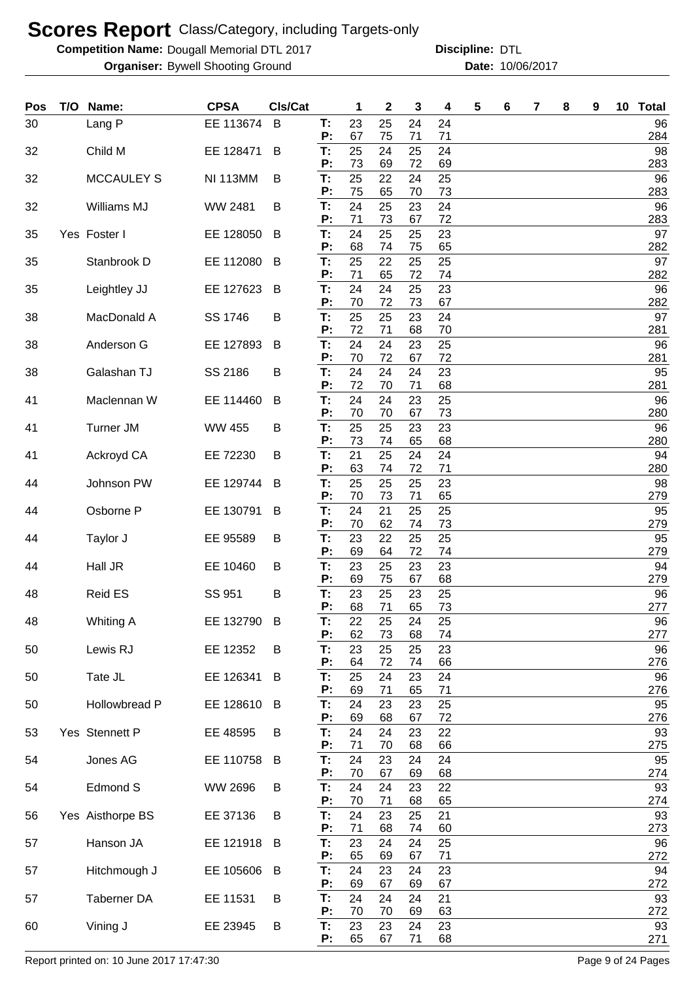**Competition Name: Dougall Memorial DTL 2017 https://www.powerflamerical DTL** 

**Organiser:** Bywell Shooting Ground **10/06/2017 Date:** 10/06/2017 **Discipline:**

| Pos | T/O | Name:             | <b>CPSA</b>     | Cls/Cat |          | 1        | $\mathbf{2}$ | 3        | 4        | 5 | 6 | 7 | 8 | 9 | 10 Total  |
|-----|-----|-------------------|-----------------|---------|----------|----------|--------------|----------|----------|---|---|---|---|---|-----------|
| 30  |     | Lang P            | EE 113674       | B       | Т.<br>P: | 23<br>67 | 25<br>75     | 24<br>71 | 24<br>71 |   |   |   |   |   | 96<br>284 |
| 32  |     | Child M           | EE 128471       | B       | T:       | 25       | 24           | 25       | 24       |   |   |   |   |   | 98        |
| 32  |     | <b>MCCAULEY S</b> | <b>NI 113MM</b> | B       | P:<br>T: | 73<br>25 | 69<br>22     | 72<br>24 | 69<br>25 |   |   |   |   |   | 283<br>96 |
| 32  |     | Williams MJ       | <b>WW 2481</b>  | B       | P:<br>T: | 75<br>24 | 65<br>25     | 70<br>23 | 73<br>24 |   |   |   |   |   | 283<br>96 |
|     |     |                   |                 |         | P:       | 71       | 73           | 67       | 72       |   |   |   |   |   | 283       |
| 35  |     | Yes Foster I      | EE 128050       | B       | T:<br>P: | 24<br>68 | 25<br>74     | 25<br>75 | 23<br>65 |   |   |   |   |   | 97<br>282 |
| 35  |     | Stanbrook D       | EE 112080       | B       | T:<br>P: | 25<br>71 | 22<br>65     | 25<br>72 | 25<br>74 |   |   |   |   |   | 97<br>282 |
| 35  |     | Leightley JJ      | EE 127623       | B       | T:       | 24       | 24           | 25       | 23       |   |   |   |   |   | 96        |
| 38  |     | MacDonald A       | SS 1746         | B       | P:<br>T: | 70<br>25 | 72<br>25     | 73<br>23 | 67<br>24 |   |   |   |   |   | 282<br>97 |
| 38  |     | Anderson G        | EE 127893       | B       | P:<br>T: | 72<br>24 | 71<br>24     | 68<br>23 | 70<br>25 |   |   |   |   |   | 281<br>96 |
|     |     |                   |                 |         | P:       | 70       | 72           | 67       | 72       |   |   |   |   |   | 281       |
| 38  |     | Galashan TJ       | SS 2186         | В       | T:<br>P: | 24<br>72 | 24<br>70     | 24<br>71 | 23<br>68 |   |   |   |   |   | 95<br>281 |
| 41  |     | Maclennan W       | EE 114460       | B       | T:<br>P: | 24<br>70 | 24<br>70     | 23<br>67 | 25<br>73 |   |   |   |   |   | 96<br>280 |
| 41  |     | <b>Turner JM</b>  | <b>WW 455</b>   | B       | Т:       | 25       | 25           | 23       | 23       |   |   |   |   |   | 96        |
| 41  |     | Ackroyd CA        | EE 72230        | B       | P:<br>Т: | 73<br>21 | 74<br>25     | 65<br>24 | 68<br>24 |   |   |   |   |   | 280<br>94 |
| 44  |     | Johnson PW        | EE 129744       | B       | P:<br>Т: | 63<br>25 | 74<br>25     | 72<br>25 | 71<br>23 |   |   |   |   |   | 280<br>98 |
|     |     |                   |                 |         | P:       | 70       | 73           | 71       | 65       |   |   |   |   |   | 279       |
| 44  |     | Osborne P         | EE 130791       | B       | T:<br>P: | 24<br>70 | 21<br>62     | 25<br>74 | 25<br>73 |   |   |   |   |   | 95<br>279 |
| 44  |     | Taylor J          | EE 95589        | B       | T:<br>P: | 23<br>69 | 22<br>64     | 25<br>72 | 25<br>74 |   |   |   |   |   | 95<br>279 |
| 44  |     | Hall JR           | EE 10460        | B       | T:       | 23       | 25           | 23       | 23       |   |   |   |   |   | 94        |
| 48  |     | Reid ES           | SS 951          | B       | Ρ.<br>T: | 69<br>23 | 75<br>25     | 67<br>23 | 68<br>25 |   |   |   |   |   | 279<br>96 |
|     |     |                   |                 |         | P:       | 68       | 71           | 65       | 73       |   |   |   |   |   | 277       |
| 48  |     | Whiting A         | EE 132790       | B       | Т:<br>P: | 22<br>62 | 25<br>73     | 24<br>68 | 25<br>74 |   |   |   |   |   | 96<br>277 |
| 50  |     | Lewis RJ          | EE 12352        | B       | T:<br>P: | 23<br>64 | 25<br>72     | 25<br>74 | 23<br>66 |   |   |   |   |   | 96<br>276 |
| 50  |     | Tate JL           | EE 126341       | B       | Τ.       | 25       | 24           | 23       | 24       |   |   |   |   |   | 96        |
| 50  |     | Hollowbread P     | EE 128610       | B       | P:<br>T: | 69<br>24 | 71<br>23     | 65<br>23 | 71<br>25 |   |   |   |   |   | 276<br>95 |
| 53  |     | Yes Stennett P    | EE 48595        | B       | P:<br>T: | 69<br>24 | 68<br>24     | 67<br>23 | 72<br>22 |   |   |   |   |   | 276<br>93 |
|     |     |                   |                 |         | P:       | 71       | 70           | 68       | 66       |   |   |   |   |   | 275       |
| 54  |     | Jones AG          | EE 110758       | B       | T:<br>P: | 24<br>70 | 23<br>67     | 24<br>69 | 24<br>68 |   |   |   |   |   | 95<br>274 |
| 54  |     | Edmond S          | WW 2696         | B       | T:<br>P: | 24<br>70 | 24<br>71     | 23<br>68 | 22<br>65 |   |   |   |   |   | 93<br>274 |
| 56  |     | Yes Aisthorpe BS  | EE 37136        | B       | T:       | 24       | 23           | 25       | 21       |   |   |   |   |   | 93        |
| 57  |     | Hanson JA         | EE 121918       | B       | P:<br>T: | 71<br>23 | 68<br>24     | 74<br>24 | 60<br>25 |   |   |   |   |   | 273<br>96 |
| 57  |     | Hitchmough J      | EE 105606       | B       | P:<br>Τ. | 65<br>24 | 69<br>23     | 67<br>24 | 71<br>23 |   |   |   |   |   | 272<br>94 |
|     |     |                   |                 |         | P:       | 69       | 67           | 69       | 67       |   |   |   |   |   | 272       |
| 57  |     | Taberner DA       | EE 11531        | В       | T:<br>P: | 24<br>70 | 24<br>70     | 24<br>69 | 21<br>63 |   |   |   |   |   | 93<br>272 |
| 60  |     | Vining J          | EE 23945        | B       | T:<br>P: | 23<br>65 | 23<br>67     | 24<br>71 | 23<br>68 |   |   |   |   |   | 93<br>271 |

Report printed on: 10 June 2017 17:47:30 Page 9 of 24 Pages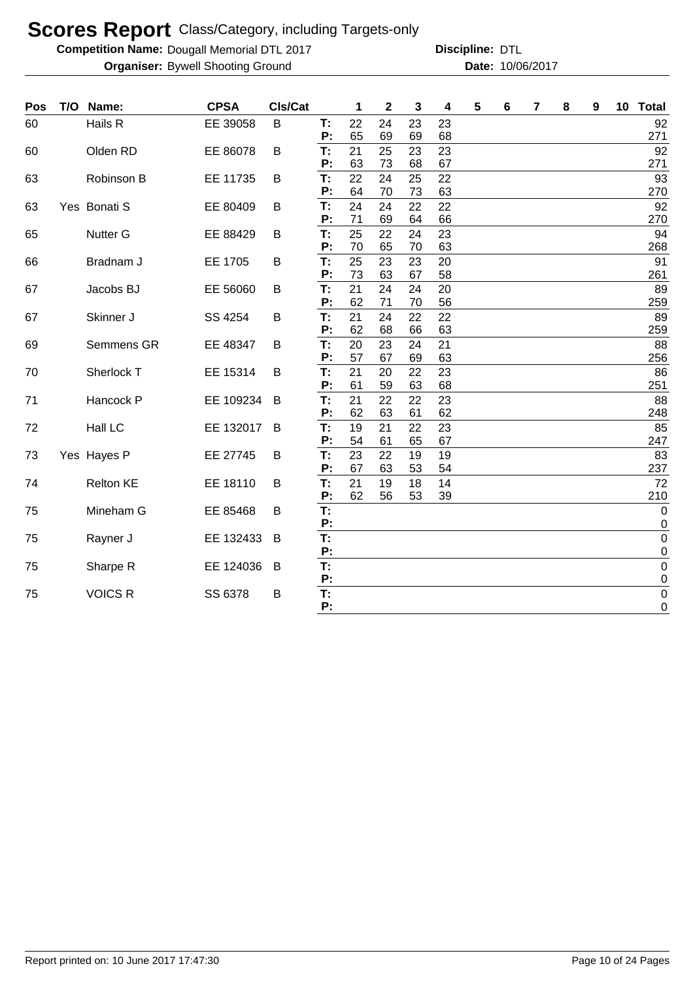**Competition Name: Dougall Memorial DTL 2017 https://www.powerflamerical DTL** 

| Hails R<br>EE 39058<br>B<br>T:<br>22<br>24<br>23<br>23<br>60<br>65<br>P:<br>69<br>69<br>68<br>Olden RD<br>EE 86078<br>T:<br>21<br>25<br>23<br>23<br>B<br>60<br>63<br>73<br>P:<br>68<br>67<br>22<br>T:<br>24<br>25<br>22<br>63<br>Robinson B<br>EE 11735<br>B<br>64<br>70<br>73<br>63<br>P:<br>24<br>T:<br>24<br>22<br>22<br>Yes Bonati S<br>EE 80409<br>63<br>B<br>71<br>69<br>P:<br>64<br>66<br>T:<br>25<br>22<br><b>Nutter G</b><br>EE 88429<br>24<br>23<br>65<br>B<br>P:<br>70<br>63<br>65<br>70<br>25<br>Bradnam J<br>EE 1705<br>T:<br>23<br>23<br>B<br>20<br>66<br>73<br>P:<br>63<br>67<br>58<br>T:<br>21<br>Jacobs BJ<br>EE 56060<br>24<br>24<br>20<br>67<br>B<br>62<br>P:<br>71<br>70<br>56<br>T:<br>21<br>SS 4254<br>24<br>22<br>22<br>Skinner J<br>67<br>B<br>P:<br>62<br>68<br>63<br>66<br>T:<br>Semmens GR<br>EE 48347<br>20<br>23<br>24<br>21<br>69<br>B<br>57<br>67<br>69<br>63<br>Р:<br>Sherlock T<br>EE 15314<br>T:<br>21<br>20<br>22<br>23<br>70<br>B<br>P:<br>61<br>59<br>63<br>68<br>T:<br>EE 109234<br>21<br>22<br>23<br>Hancock P<br>22<br>71<br>B<br>62<br>63<br>62<br>P:<br>61<br>T:<br>Hall LC<br>19<br>23<br>EE 132017<br>B<br>21<br>22<br>72 | T/O<br>Name: | <b>CPSA</b> | Cls/Cat |    | 1  | $\mathbf 2$ | 3  | 4  | 5 | 6 | 7 | 8 | 9 | 10 Total                   |
|-----------------------------------------------------------------------------------------------------------------------------------------------------------------------------------------------------------------------------------------------------------------------------------------------------------------------------------------------------------------------------------------------------------------------------------------------------------------------------------------------------------------------------------------------------------------------------------------------------------------------------------------------------------------------------------------------------------------------------------------------------------------------------------------------------------------------------------------------------------------------------------------------------------------------------------------------------------------------------------------------------------------------------------------------------------------------------------------------------------------------------------------------------------------------|--------------|-------------|---------|----|----|-------------|----|----|---|---|---|---|---|----------------------------|
|                                                                                                                                                                                                                                                                                                                                                                                                                                                                                                                                                                                                                                                                                                                                                                                                                                                                                                                                                                                                                                                                                                                                                                       |              |             |         |    |    |             |    |    |   |   |   |   |   | 92<br>271                  |
|                                                                                                                                                                                                                                                                                                                                                                                                                                                                                                                                                                                                                                                                                                                                                                                                                                                                                                                                                                                                                                                                                                                                                                       |              |             |         |    |    |             |    |    |   |   |   |   |   | 92<br>271                  |
|                                                                                                                                                                                                                                                                                                                                                                                                                                                                                                                                                                                                                                                                                                                                                                                                                                                                                                                                                                                                                                                                                                                                                                       |              |             |         |    |    |             |    |    |   |   |   |   |   | 93                         |
|                                                                                                                                                                                                                                                                                                                                                                                                                                                                                                                                                                                                                                                                                                                                                                                                                                                                                                                                                                                                                                                                                                                                                                       |              |             |         |    |    |             |    |    |   |   |   |   |   | 270                        |
|                                                                                                                                                                                                                                                                                                                                                                                                                                                                                                                                                                                                                                                                                                                                                                                                                                                                                                                                                                                                                                                                                                                                                                       |              |             |         |    |    |             |    |    |   |   |   |   |   | 92                         |
|                                                                                                                                                                                                                                                                                                                                                                                                                                                                                                                                                                                                                                                                                                                                                                                                                                                                                                                                                                                                                                                                                                                                                                       |              |             |         |    |    |             |    |    |   |   |   |   |   | 270                        |
|                                                                                                                                                                                                                                                                                                                                                                                                                                                                                                                                                                                                                                                                                                                                                                                                                                                                                                                                                                                                                                                                                                                                                                       |              |             |         |    |    |             |    |    |   |   |   |   |   | 94<br>268                  |
|                                                                                                                                                                                                                                                                                                                                                                                                                                                                                                                                                                                                                                                                                                                                                                                                                                                                                                                                                                                                                                                                                                                                                                       |              |             |         |    |    |             |    |    |   |   |   |   |   | 91                         |
|                                                                                                                                                                                                                                                                                                                                                                                                                                                                                                                                                                                                                                                                                                                                                                                                                                                                                                                                                                                                                                                                                                                                                                       |              |             |         |    |    |             |    |    |   |   |   |   |   | 261                        |
|                                                                                                                                                                                                                                                                                                                                                                                                                                                                                                                                                                                                                                                                                                                                                                                                                                                                                                                                                                                                                                                                                                                                                                       |              |             |         |    |    |             |    |    |   |   |   |   |   | 89                         |
|                                                                                                                                                                                                                                                                                                                                                                                                                                                                                                                                                                                                                                                                                                                                                                                                                                                                                                                                                                                                                                                                                                                                                                       |              |             |         |    |    |             |    |    |   |   |   |   |   | 259                        |
|                                                                                                                                                                                                                                                                                                                                                                                                                                                                                                                                                                                                                                                                                                                                                                                                                                                                                                                                                                                                                                                                                                                                                                       |              |             |         |    |    |             |    |    |   |   |   |   |   | 89<br>259                  |
|                                                                                                                                                                                                                                                                                                                                                                                                                                                                                                                                                                                                                                                                                                                                                                                                                                                                                                                                                                                                                                                                                                                                                                       |              |             |         |    |    |             |    |    |   |   |   |   |   | 88                         |
|                                                                                                                                                                                                                                                                                                                                                                                                                                                                                                                                                                                                                                                                                                                                                                                                                                                                                                                                                                                                                                                                                                                                                                       |              |             |         |    |    |             |    |    |   |   |   |   |   | 256                        |
|                                                                                                                                                                                                                                                                                                                                                                                                                                                                                                                                                                                                                                                                                                                                                                                                                                                                                                                                                                                                                                                                                                                                                                       |              |             |         |    |    |             |    |    |   |   |   |   |   | 86                         |
|                                                                                                                                                                                                                                                                                                                                                                                                                                                                                                                                                                                                                                                                                                                                                                                                                                                                                                                                                                                                                                                                                                                                                                       |              |             |         |    |    |             |    |    |   |   |   |   |   | 251                        |
|                                                                                                                                                                                                                                                                                                                                                                                                                                                                                                                                                                                                                                                                                                                                                                                                                                                                                                                                                                                                                                                                                                                                                                       |              |             |         |    |    |             |    |    |   |   |   |   |   | 88                         |
|                                                                                                                                                                                                                                                                                                                                                                                                                                                                                                                                                                                                                                                                                                                                                                                                                                                                                                                                                                                                                                                                                                                                                                       |              |             |         |    |    |             |    |    |   |   |   |   |   | 248                        |
|                                                                                                                                                                                                                                                                                                                                                                                                                                                                                                                                                                                                                                                                                                                                                                                                                                                                                                                                                                                                                                                                                                                                                                       |              |             |         | P: | 54 | 61          | 65 | 67 |   |   |   |   |   | 85<br>247                  |
| T:<br>23<br>22<br>Yes Hayes P<br>EE 27745<br>19<br>19<br>73<br>B                                                                                                                                                                                                                                                                                                                                                                                                                                                                                                                                                                                                                                                                                                                                                                                                                                                                                                                                                                                                                                                                                                      |              |             |         |    |    |             |    |    |   |   |   |   |   | 83                         |
| P:<br>67<br>63<br>53<br>54                                                                                                                                                                                                                                                                                                                                                                                                                                                                                                                                                                                                                                                                                                                                                                                                                                                                                                                                                                                                                                                                                                                                            |              |             |         |    |    |             |    |    |   |   |   |   |   | 237                        |
| <b>Relton KE</b><br>EE 18110<br>T:<br>21<br>74<br>B<br>19<br>18<br>14                                                                                                                                                                                                                                                                                                                                                                                                                                                                                                                                                                                                                                                                                                                                                                                                                                                                                                                                                                                                                                                                                                 |              |             |         |    |    |             |    |    |   |   |   |   |   | 72                         |
| 62<br>P:<br>56<br>53<br>39                                                                                                                                                                                                                                                                                                                                                                                                                                                                                                                                                                                                                                                                                                                                                                                                                                                                                                                                                                                                                                                                                                                                            |              |             |         |    |    |             |    |    |   |   |   |   |   | 210                        |
| T:<br>Mineham G<br>EE 85468<br>75<br>B<br>P:                                                                                                                                                                                                                                                                                                                                                                                                                                                                                                                                                                                                                                                                                                                                                                                                                                                                                                                                                                                                                                                                                                                          |              |             |         |    |    |             |    |    |   |   |   |   |   | $\mathbf 0$<br>0           |
| T:<br>Rayner J<br>EE 132433<br>75<br>B                                                                                                                                                                                                                                                                                                                                                                                                                                                                                                                                                                                                                                                                                                                                                                                                                                                                                                                                                                                                                                                                                                                                |              |             |         |    |    |             |    |    |   |   |   |   |   | $\mathbf 0$                |
| P:                                                                                                                                                                                                                                                                                                                                                                                                                                                                                                                                                                                                                                                                                                                                                                                                                                                                                                                                                                                                                                                                                                                                                                    |              |             |         |    |    |             |    |    |   |   |   |   |   | 0                          |
| T:<br>Sharpe R<br>EE 124036<br>75<br>B<br>P:                                                                                                                                                                                                                                                                                                                                                                                                                                                                                                                                                                                                                                                                                                                                                                                                                                                                                                                                                                                                                                                                                                                          |              |             |         |    |    |             |    |    |   |   |   |   |   | $\mathbf 0$<br>$\mathbf 0$ |
| T:<br><b>VOICS R</b><br>SS 6378<br>75<br>B                                                                                                                                                                                                                                                                                                                                                                                                                                                                                                                                                                                                                                                                                                                                                                                                                                                                                                                                                                                                                                                                                                                            |              |             |         |    |    |             |    |    |   |   |   |   |   | $\boldsymbol{0}$           |
| P:                                                                                                                                                                                                                                                                                                                                                                                                                                                                                                                                                                                                                                                                                                                                                                                                                                                                                                                                                                                                                                                                                                                                                                    |              |             |         |    |    |             |    |    |   |   |   |   |   | 0                          |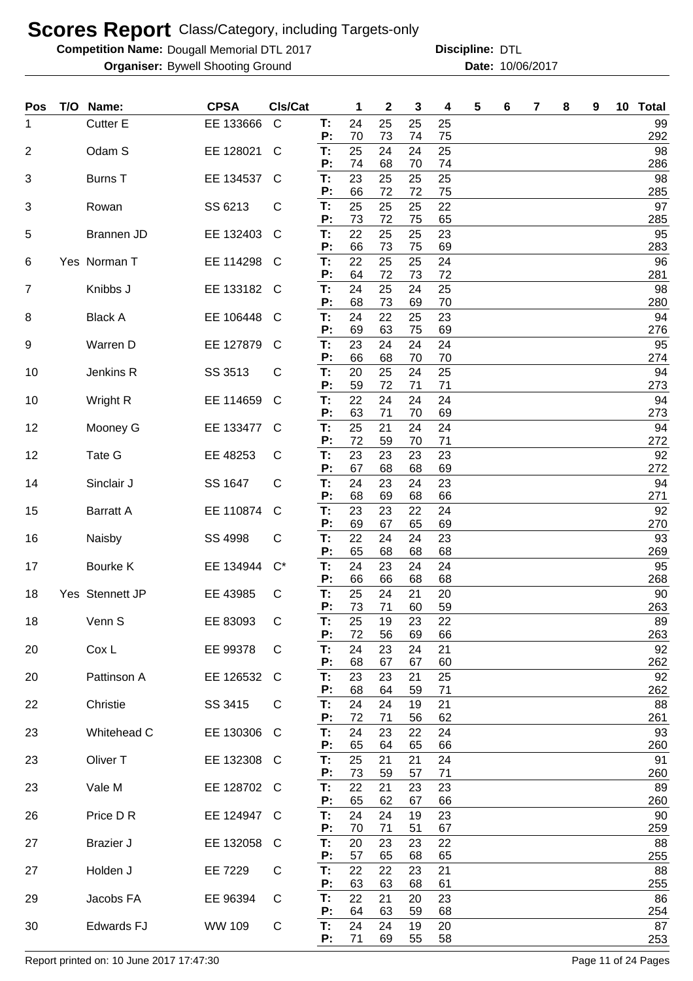**Competition Name: Dougall Memorial DTL 2017 https://www.powerflamerical DTL** 

**Organiser:** Bywell Shooting Ground **10/06/2017 Date:** 10/06/2017 **Discipline:**

| Pos            | T/O Name:           | <b>CPSA</b> | Cls/Cat      |          | 1        | $\boldsymbol{2}$ | 3        | 4        | 5 | 6 | 7 | 8 | 9 | 10 <sub>1</sub> | <b>Total</b> |
|----------------|---------------------|-------------|--------------|----------|----------|------------------|----------|----------|---|---|---|---|---|-----------------|--------------|
| 1              | <b>Cutter E</b>     | EE 133666   | $\mathsf{C}$ | Т:<br>P: | 24<br>70 | 25<br>73         | 25<br>74 | 25<br>75 |   |   |   |   |   |                 | 99<br>292    |
| $\overline{2}$ | Odam S              | EE 128021   | C            | T:       | 25       | 24               | 24       | 25       |   |   |   |   |   |                 | 98           |
| 3              | <b>Burns T</b>      | EE 134537   | C            | P:<br>T: | 74<br>23 | 68<br>25         | 70<br>25 | 74<br>25 |   |   |   |   |   |                 | 286<br>98    |
|                |                     |             |              | P:       | 66       | 72               | 72       | 75       |   |   |   |   |   |                 | 285          |
| 3              | Rowan               | SS 6213     | С            | T:<br>P: | 25<br>73 | 25<br>72         | 25<br>75 | 22<br>65 |   |   |   |   |   |                 | 97<br>285    |
| 5              | Brannen JD          | EE 132403   | C            | T:<br>P: | 22<br>66 | 25<br>73         | 25<br>75 | 23<br>69 |   |   |   |   |   |                 | 95<br>283    |
| 6              | Yes Norman T        | EE 114298   | C            | Т:       | 22       | 25               | 25       | 24       |   |   |   |   |   |                 | 96           |
| $\overline{7}$ | Knibbs J            | EE 133182   | C            | P:<br>T: | 64<br>24 | 72<br>25         | 73<br>24 | 72<br>25 |   |   |   |   |   |                 | 281<br>98    |
|                |                     |             |              | P:<br>T: | 68<br>24 | 73               | 69       | 70       |   |   |   |   |   |                 | 280          |
| 8              | <b>Black A</b>      | EE 106448   | C            | P:       | 69       | 22<br>63         | 25<br>75 | 23<br>69 |   |   |   |   |   |                 | 94<br>276    |
| 9              | Warren D            | EE 127879   | C            | T:<br>Ρ: | 23<br>66 | 24<br>68         | 24<br>70 | 24<br>70 |   |   |   |   |   |                 | 95<br>274    |
| 10             | Jenkins R           | SS 3513     | С            | T:       | 20       | 25               | 24       | 25       |   |   |   |   |   |                 | 94           |
| 10             | Wright R            | EE 114659   | C            | P:<br>T: | 59<br>22 | 72<br>24         | 71<br>24 | 71<br>24 |   |   |   |   |   |                 | 273<br>94    |
|                |                     |             |              | P:       | 63<br>25 | 71<br>21         | 70       | 69       |   |   |   |   |   |                 | 273          |
| 12             | Mooney G            | EE 133477   | C            | T:<br>Ρ: | 72       | 59               | 24<br>70 | 24<br>71 |   |   |   |   |   |                 | 94<br>272    |
| 12             | Tate G              | EE 48253    | С            | Т:<br>P: | 23<br>67 | 23<br>68         | 23<br>68 | 23<br>69 |   |   |   |   |   |                 | 92<br>272    |
| 14             | Sinclair J          | SS 1647     | С            | T:       | 24       | 23               | 24       | 23       |   |   |   |   |   |                 | 94           |
| 15             | <b>Barratt A</b>    | EE 110874   | C            | Ρ.<br>T: | 68<br>23 | 69<br>23         | 68<br>22 | 66<br>24 |   |   |   |   |   |                 | 271<br>92    |
|                |                     |             |              | Р:<br>T: | 69<br>22 | 67<br>24         | 65<br>24 | 69<br>23 |   |   |   |   |   |                 | 270<br>93    |
| 16             | Naisby              | SS 4998     | C            | Ρ.       | 65       | 68               | 68       | 68       |   |   |   |   |   |                 | 269          |
| 17             | Bourke K            | EE 134944   | $C^*$        | T:<br>Р: | 24<br>66 | 23<br>66         | 24<br>68 | 24<br>68 |   |   |   |   |   |                 | 95<br>268    |
| 18             | Yes Stennett JP     | EE 43985    | С            | Т:       | 25       | 24               | 21       | 20       |   |   |   |   |   |                 | 90           |
| 18             | Venn S              | EE 83093    | С            | P:<br>Т: | 73<br>25 | 71<br>19         | 60<br>23 | 59<br>22 |   |   |   |   |   |                 | 263<br>89    |
|                | Cox L               | EE 99378    | C            | P:<br>Τ. | 72<br>24 | 56<br>23         | 69<br>24 | 66<br>21 |   |   |   |   |   |                 | 263<br>92    |
| 20             |                     |             |              | P:       | 68       | 67               | 67       | 60       |   |   |   |   |   |                 | 262          |
| 20             | Pattinson A         | EE 126532   | C            | Τ.<br>P: | 23<br>68 | 23<br>64         | 21<br>59 | 25<br>71 |   |   |   |   |   |                 | 92<br>262    |
| 22             | Christie            | SS 3415     | C            | T:       | 24       | 24               | 19       | 21       |   |   |   |   |   |                 | 88           |
| 23             | Whitehead C         | EE 130306   | C            | P:<br>T: | 72<br>24 | 71<br>23         | 56<br>22 | 62<br>24 |   |   |   |   |   |                 | 261<br>93    |
| 23             | Oliver <sub>T</sub> | EE 132308   | C            | P:<br>T: | 65<br>25 | 64<br>21         | 65<br>21 | 66<br>24 |   |   |   |   |   |                 | 260<br>91    |
|                |                     |             |              | P:       | 73       | 59               | 57       | 71       |   |   |   |   |   |                 | 260          |
| 23             | Vale M              | EE 128702 C |              | T:<br>P: | 22<br>65 | 21<br>62         | 23<br>67 | 23<br>66 |   |   |   |   |   |                 | 89<br>260    |
| 26             | Price D R           | EE 124947   | C            | T:       | 24       | 24               | 19       | 23       |   |   |   |   |   |                 | 90           |
| 27             | <b>Brazier J</b>    | EE 132058   | C            | P:<br>T: | 70<br>20 | 71<br>23         | 51<br>23 | 67<br>22 |   |   |   |   |   |                 | 259<br>88    |
| 27             | Holden J            | EE 7229     | С            | P:<br>T: | 57<br>22 | 65<br>22         | 68<br>23 | 65<br>21 |   |   |   |   |   |                 | 255<br>88    |
|                |                     |             |              | P:       | 63       | 63               | 68       | 61       |   |   |   |   |   |                 | 255          |
| 29             | Jacobs FA           | EE 96394    | C            | T:<br>P: | 22<br>64 | 21<br>63         | 20<br>59 | 23<br>68 |   |   |   |   |   |                 | 86<br>254    |
| 30             | <b>Edwards FJ</b>   | WW 109      | C            | T:<br>P: | 24<br>71 | 24<br>69         | 19       | 20<br>58 |   |   |   |   |   |                 | 87           |
|                |                     |             |              |          |          |                  | 55       |          |   |   |   |   |   |                 | 253          |

Report printed on: 10 June 2017 17:47:30 Page 11 of 24 Pages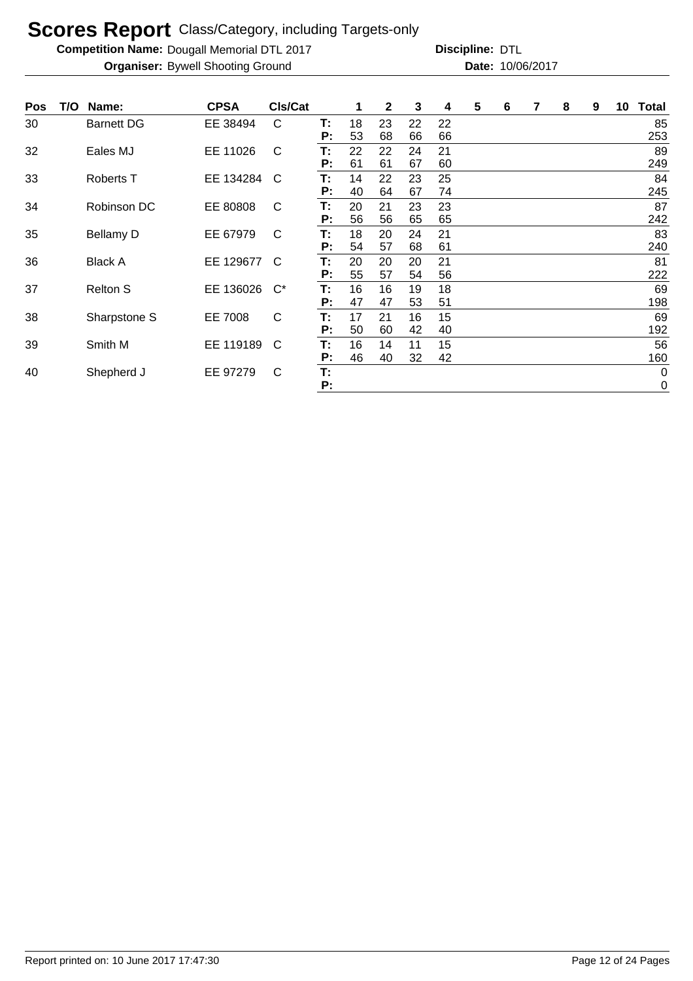**Competition Name: Dougall Memorial DTL 2017 https://www.powerflamerical DTL** 

| <b>Pos</b> | T/O | Name:             | <b>CPSA</b> | <b>CIs/Cat</b> |    | $\mathbf 1$ | 2  | 3  | 4  | 5 | 6 | 7 | 8 | 9 | 10 | <b>Total</b> |
|------------|-----|-------------------|-------------|----------------|----|-------------|----|----|----|---|---|---|---|---|----|--------------|
| 30         |     | <b>Barnett DG</b> | EE 38494    | C              | Т: | 18          | 23 | 22 | 22 |   |   |   |   |   |    | 85           |
|            |     |                   |             |                | P: | 53          | 68 | 66 | 66 |   |   |   |   |   |    | 253          |
| 32         |     | Eales MJ          | EE 11026    | C              | Т. | 22          | 22 | 24 | 21 |   |   |   |   |   |    | 89           |
|            |     |                   |             |                | P: | 61          | 61 | 67 | 60 |   |   |   |   |   |    | 249          |
| 33         |     | Roberts T         | EE 134284   | C              | Т: | 14          | 22 | 23 | 25 |   |   |   |   |   |    | 84           |
|            |     |                   |             |                | P: | 40          | 64 | 67 | 74 |   |   |   |   |   |    | 245          |
| 34         |     | Robinson DC       | EE 80808    | C              | Т. | 20          | 21 | 23 | 23 |   |   |   |   |   |    | 87           |
|            |     |                   |             |                | Р: | 56          | 56 | 65 | 65 |   |   |   |   |   |    | 242          |
| 35         |     | <b>Bellamy D</b>  | EE 67979    | C              | Т: | 18          | 20 | 24 | 21 |   |   |   |   |   |    | 83           |
|            |     |                   |             |                | P: | 54          | 57 | 68 | 61 |   |   |   |   |   |    | 240          |
| 36         |     | <b>Black A</b>    | EE 129677   | C              | Т. | 20          | 20 | 20 | 21 |   |   |   |   |   |    | 81           |
|            |     |                   |             |                | P: | 55          | 57 | 54 | 56 |   |   |   |   |   |    | 222          |
| 37         |     | <b>Relton S</b>   | EE 136026   | $C^*$          | Т. | 16          | 16 | 19 | 18 |   |   |   |   |   |    | 69           |
|            |     |                   |             |                | P: | 47          | 47 | 53 | 51 |   |   |   |   |   |    | 198          |
| 38         |     | Sharpstone S      | EE 7008     | $\mathsf{C}$   | Т: | 17          | 21 | 16 | 15 |   |   |   |   |   |    | 69           |
|            |     |                   |             |                | Р: | 50          | 60 | 42 | 40 |   |   |   |   |   |    | 192          |
| 39         |     | Smith M           | EE 119189   | C              | Т. | 16          | 14 | 11 | 15 |   |   |   |   |   |    | 56           |
|            |     |                   |             |                | P: | 46          | 40 | 32 | 42 |   |   |   |   |   |    | 160          |
| 40         |     | Shepherd J        | EE 97279    | C              | T: |             |    |    |    |   |   |   |   |   |    | $\pmb{0}$    |
|            |     |                   |             |                | P: |             |    |    |    |   |   |   |   |   |    | $\mathbf 0$  |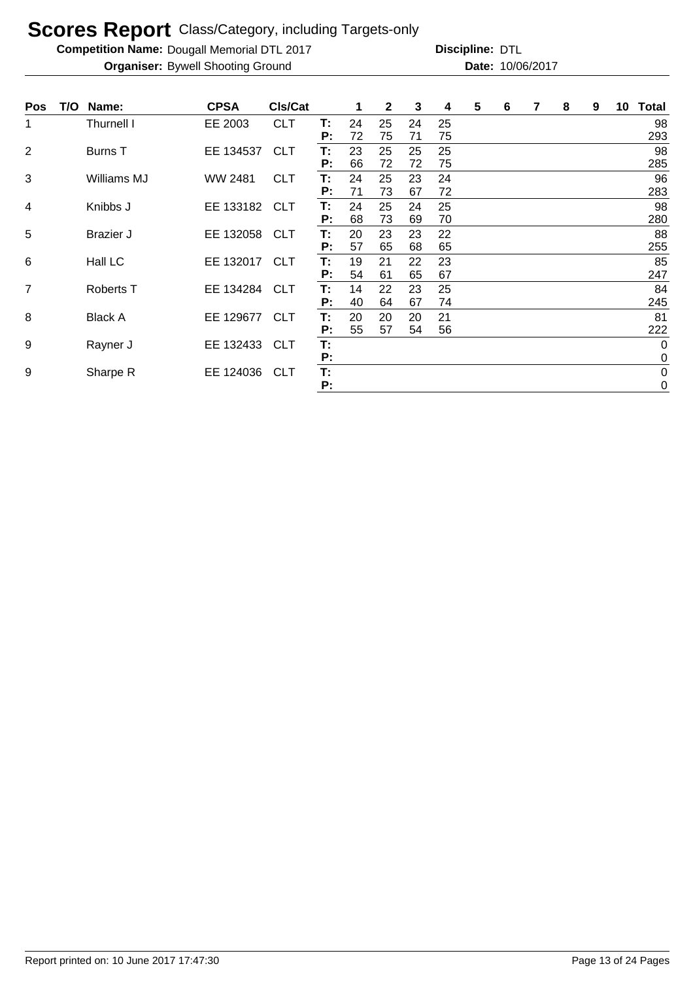**Competition Name: Dougall Memorial DTL 2017 https://www.powerflamerical DTL** 

| <b>Pos</b> | T/O | Name:            | <b>CPSA</b>    | CIs/Cat    |          | 1        | $\mathbf{2}$ | 3              | 4        | 5 | 6 | 7 | 8 | 9 | 10 | <b>Total</b>               |
|------------|-----|------------------|----------------|------------|----------|----------|--------------|----------------|----------|---|---|---|---|---|----|----------------------------|
| 1          |     | Thurnell I       | EE 2003        | <b>CLT</b> | т:<br>P: | 24<br>72 | 25<br>75     | 24<br>71       | 25<br>75 |   |   |   |   |   |    | 98<br>293                  |
| 2          |     | Burns T          | EE 134537      | <b>CLT</b> | т:<br>P: | 23<br>66 | 25<br>72     | 25             | 25<br>75 |   |   |   |   |   |    | 98<br>285                  |
| 3          |     | Williams MJ      | <b>WW 2481</b> | <b>CLT</b> | T:<br>P: | 24<br>71 | 25<br>73     | 72<br>23<br>67 | 24<br>72 |   |   |   |   |   |    | 96<br>283                  |
| 4          |     | Knibbs J         | EE 133182 CLT  |            | Т:<br>Р: | 24<br>68 | 25<br>73     | 24<br>69       | 25<br>70 |   |   |   |   |   |    | 98<br>280                  |
| 5          |     | <b>Brazier J</b> | EE 132058      | <b>CLT</b> | Т:<br>P: | 20<br>57 | 23<br>65     | 23<br>68       | 22<br>65 |   |   |   |   |   |    | 88<br>255                  |
| 6          |     | Hall LC          | EE 132017 CLT  |            | Т:<br>Р: | 19<br>54 | 21<br>61     | 22<br>65       | 23<br>67 |   |   |   |   |   |    | 85<br>247                  |
| 7          |     | Roberts T        | EE 134284      | <b>CLT</b> | T:<br>P: | 14<br>40 | 22<br>64     | 23<br>67       | 25<br>74 |   |   |   |   |   |    | 84<br>245                  |
| 8          |     | <b>Black A</b>   | EE 129677      | <b>CLT</b> | Т:<br>Р: | 20<br>55 | 20<br>57     | 20<br>54       | 21<br>56 |   |   |   |   |   |    | 81<br>222                  |
| 9          |     | Rayner J         | EE 132433      | <b>CLT</b> | T:<br>P: |          |              |                |          |   |   |   |   |   |    | $\mathbf 0$<br>$\mathbf 0$ |
| 9          |     | Sharpe R         | EE 124036      | <b>CLT</b> | T:<br>Р: |          |              |                |          |   |   |   |   |   |    | $\pmb{0}$<br>$\pmb{0}$     |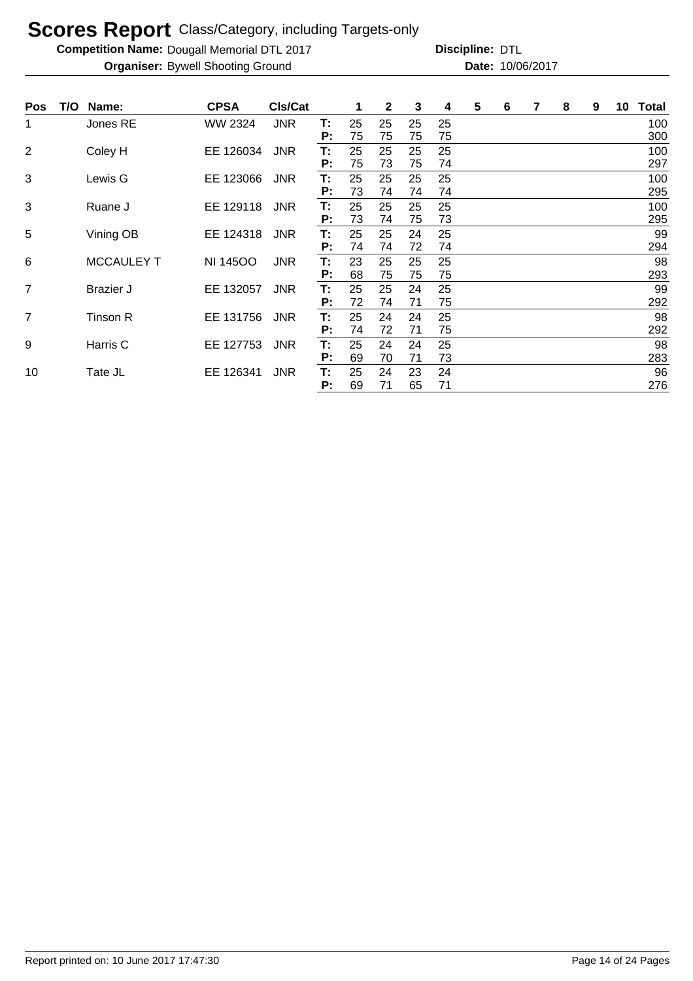**Competition Name: Dougall Memorial DTL 2017 https://www.powerflamerical DTL** 

| <b>Pos</b>     | T/O l | Name:             | <b>CPSA</b>     | CIs/Cat    |          | 1        | $\mathbf{2}$ | 3        | 4        | 5 | 6 | 7 | 8 | 9 | 10 | <b>Total</b> |
|----------------|-------|-------------------|-----------------|------------|----------|----------|--------------|----------|----------|---|---|---|---|---|----|--------------|
| 1              |       | Jones RE          | WW 2324         | <b>JNR</b> | T:<br>P: | 25<br>75 | 25<br>75     | 25<br>75 | 25<br>75 |   |   |   |   |   |    | 100<br>300   |
| $\overline{2}$ |       | Coley H           | EE 126034       | <b>JNR</b> | Т:<br>P: | 25<br>75 | 25<br>73     | 25<br>75 | 25<br>74 |   |   |   |   |   |    | 100<br>297   |
| 3              |       | Lewis G           | EE 123066       | <b>JNR</b> | Т:<br>P: | 25<br>73 | 25<br>74     | 25<br>74 | 25<br>74 |   |   |   |   |   |    | 100<br>295   |
| 3              |       | Ruane J           | EE 129118       | <b>JNR</b> | Т:<br>P: | 25<br>73 | 25<br>74     | 25<br>75 | 25<br>73 |   |   |   |   |   |    | 100<br>295   |
| $\overline{5}$ |       | Vining OB         | EE 124318       | <b>JNR</b> | Т:<br>P: | 25<br>74 | 25<br>74     | 24<br>72 | 25<br>74 |   |   |   |   |   |    | 99<br>294    |
| 6              |       | <b>MCCAULEY T</b> | <b>NI 14500</b> | <b>JNR</b> | Т:<br>P: | 23<br>68 | 25<br>75     | 25<br>75 | 25<br>75 |   |   |   |   |   |    | 98<br>293    |
| 7              |       | <b>Brazier J</b>  | EE 132057       | <b>JNR</b> | Т:<br>P: | 25<br>72 | 25<br>74     | 24<br>71 | 25<br>75 |   |   |   |   |   |    | 99<br>292    |
| 7              |       | Tinson R          | EE 131756       | <b>JNR</b> | Т:<br>P: | 25<br>74 | 24<br>72     | 24<br>71 | 25<br>75 |   |   |   |   |   |    | 98<br>292    |
| 9              |       | Harris C          | EE 127753       | <b>JNR</b> | Т:<br>P: | 25<br>69 | 24<br>70     | 24<br>71 | 25<br>73 |   |   |   |   |   |    | 98<br>283    |
| 10             |       | Tate JL           | EE 126341       | <b>JNR</b> | Т:<br>Р: | 25<br>69 | 24<br>71     | 23<br>65 | 24<br>71 |   |   |   |   |   |    | 96<br>276    |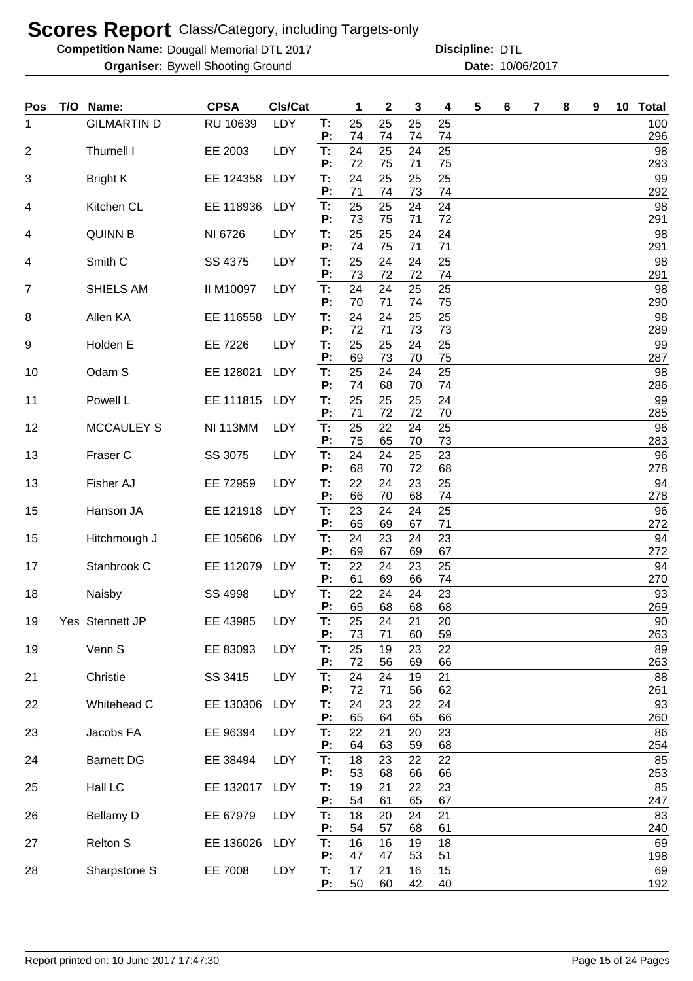**Competition Name: Dougall Memorial DTL 2017 https://www.powerflamerical DTL** 

| Pos | T/O | Name:              | <b>CPSA</b>     | CIs/Cat    |          | 1        | 2        | 3        | 4        | 5 | 6 | 7 | 8 | 9 | 10 Total  |
|-----|-----|--------------------|-----------------|------------|----------|----------|----------|----------|----------|---|---|---|---|---|-----------|
| 1   |     | <b>GILMARTIN D</b> | RU 10639        | LDY        | Т:<br>P: | 25<br>74 | 25<br>74 | 25<br>74 | 25       |   |   |   |   |   | 100       |
| 2   |     | Thurnell I         | EE 2003         | LDY        | T:       | 24       | 25       | 24       | 74<br>25 |   |   |   |   |   | 296<br>98 |
| 3   |     | <b>Bright K</b>    | EE 124358       | LDY        | P:<br>T: | 72<br>24 | 75<br>25 | 71<br>25 | 75<br>25 |   |   |   |   |   | 293<br>99 |
|     |     |                    |                 |            | P:       | 71       | 74       | 73       | 74       |   |   |   |   |   | 292       |
| 4   |     | Kitchen CL         | EE 118936       | LDY        | T:<br>P: | 25<br>73 | 25<br>75 | 24<br>71 | 24<br>72 |   |   |   |   |   | 98<br>291 |
| 4   |     | <b>QUINN B</b>     | NI 6726         | LDY        | T:<br>P: | 25<br>74 | 25<br>75 | 24<br>71 | 24<br>71 |   |   |   |   |   | 98<br>291 |
| 4   |     | Smith C            | SS 4375         | LDY        | T:       | 25       | 24       | 24       | 25       |   |   |   |   |   | 98        |
| 7   |     | SHIELS AM          | II M10097       | LDY        | P:<br>T: | 73<br>24 | 72<br>24 | 72<br>25 | 74<br>25 |   |   |   |   |   | 291<br>98 |
|     |     |                    |                 |            | P:       | 70       | 71       | 74       | 75       |   |   |   |   |   | 290       |
| 8   |     | Allen KA           | EE 116558       | LDY        | T:<br>P: | 24<br>72 | 24<br>71 | 25<br>73 | 25<br>73 |   |   |   |   |   | 98<br>289 |
| 9   |     | Holden E           | EE 7226         | LDY        | T.<br>P: | 25<br>69 | 25<br>73 | 24<br>70 | 25<br>75 |   |   |   |   |   | 99<br>287 |
| 10  |     | Odam S             | EE 128021       | LDY        | T:       | 25       | 24       | 24       | 25       |   |   |   |   |   | 98        |
| 11  |     | Powell L           | EE 111815       | LDY        | P:<br>T. | 74<br>25 | 68<br>25 | 70<br>25 | 74<br>24 |   |   |   |   |   | 286<br>99 |
|     |     |                    |                 |            | P:       | 71       | 72       | 72       | 70       |   |   |   |   |   | 285       |
| 12  |     | <b>MCCAULEY S</b>  | <b>NI 113MM</b> | LDY        | T.<br>P: | 25<br>75 | 22<br>65 | 24<br>70 | 25<br>73 |   |   |   |   |   | 96<br>283 |
| 13  |     | Fraser C           | SS 3075         | LDY        | Т:       | 24       | 24       | 25       | 23       |   |   |   |   |   | 96        |
| 13  |     | Fisher AJ          | EE 72959        | <b>LDY</b> | P:<br>T: | 68<br>22 | 70<br>24 | 72<br>23 | 68<br>25 |   |   |   |   |   | 278<br>94 |
| 15  |     | Hanson JA          | EE 121918       | LDY        | P:<br>T: | 66<br>23 | 70<br>24 | 68<br>24 | 74<br>25 |   |   |   |   |   | 278<br>96 |
|     |     |                    |                 |            | P:       | 65       | 69       | 67       | 71       |   |   |   |   |   | 272       |
| 15  |     | Hitchmough J       | EE 105606       | LDY        | Т:<br>P: | 24<br>69 | 23<br>67 | 24<br>69 | 23<br>67 |   |   |   |   |   | 94<br>272 |
| 17  |     | Stanbrook C        | EE 112079       | LDY        | T:       | 22       | 24       | 23       | 25       |   |   |   |   |   | 94        |
| 18  |     | Naisby             | SS 4998         | LDY        | P:<br>Т: | 61<br>22 | 69<br>24 | 66<br>24 | 74<br>23 |   |   |   |   |   | 270<br>93 |
|     |     |                    |                 |            | P:       | 65       | 68       | 68       | 68       |   |   |   |   |   | 269       |
| 19  |     | Yes Stennett JP    | EE 43985        | LDY        | Т:<br>P: | 25<br>73 | 24<br>71 | 21<br>60 | 20<br>59 |   |   |   |   |   | 90<br>263 |
| 19  |     | Venn S             | EE 83093        | LDY        | T.       | 25       | 19       | 23       | 22       |   |   |   |   |   | 89        |
| 21  |     | Christie           | SS 3415         | LDY        | P:<br>T: | 72<br>24 | 56<br>24 | 69<br>19 | 66<br>21 |   |   |   |   |   | 263<br>88 |
| 22  |     | Whitehead C        | EE 130306       | LDY        | Ρ.<br>T: | 72<br>24 | 71<br>23 | 56<br>22 | 62<br>24 |   |   |   |   |   | 261<br>93 |
|     |     |                    |                 |            | Ρ.       | 65       | 64       | 65       | 66       |   |   |   |   |   | 260       |
| 23  |     | Jacobs FA          | EE 96394        | LDY        | T:<br>P: | 22<br>64 | 21<br>63 | 20<br>59 | 23<br>68 |   |   |   |   |   | 86<br>254 |
| 24  |     | <b>Barnett DG</b>  | EE 38494        | LDY        | T:       | 18       | 23       | 22       | 22       |   |   |   |   |   | 85        |
| 25  |     | Hall LC            | EE 132017       | LDY        | Ρ.<br>T: | 53<br>19 | 68<br>21 | 66<br>22 | 66<br>23 |   |   |   |   |   | 253<br>85 |
|     |     |                    |                 |            | P:<br>T: | 54<br>18 | 61       | 65       | 67       |   |   |   |   |   | 247<br>83 |
| 26  |     | <b>Bellamy D</b>   | EE 67979        | LDY        | P:       | 54       | 20<br>57 | 24<br>68 | 21<br>61 |   |   |   |   |   | 240       |
| 27  |     | <b>Relton S</b>    | EE 136026       | LDY        | T:<br>P: | 16<br>47 | 16<br>47 | 19<br>53 | 18<br>51 |   |   |   |   |   | 69<br>198 |
| 28  |     | Sharpstone S       | EE 7008         | LDY        | T.       | 17       | 21       | 16       | 15       |   |   |   |   |   | 69        |
|     |     |                    |                 |            | P:       | 50       | 60       | 42       | 40       |   |   |   |   |   | 192       |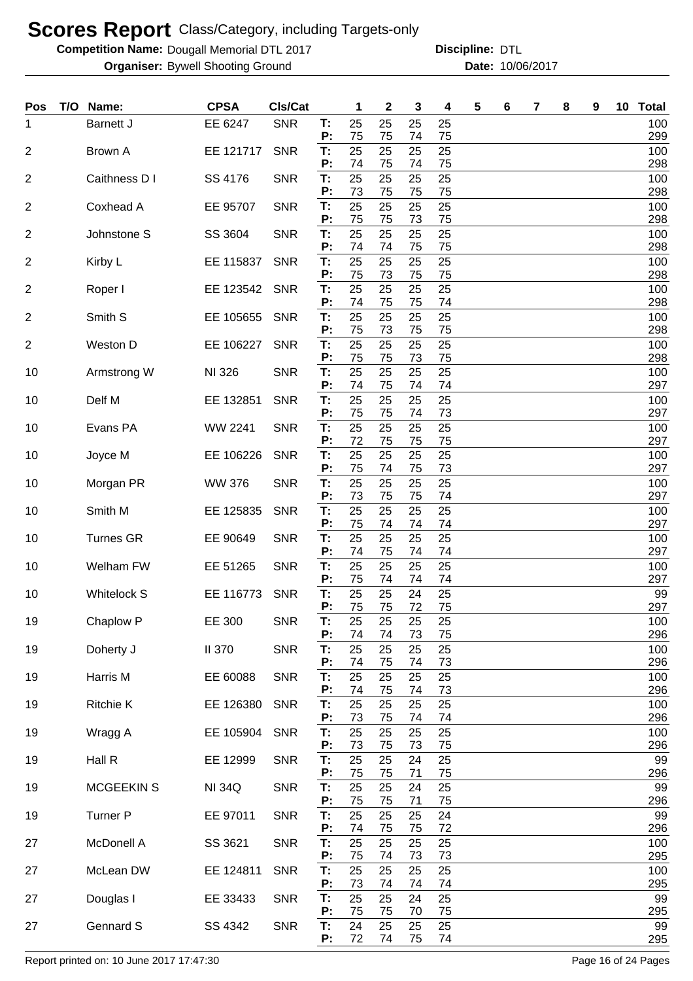**Competition Name: Dougall Memorial DTL 2017 https://www.powerflamerical DTL** 

**Organiser:** Bywell Shooting Ground **10/06/2017 Date:** 10/06/2017 **Discipline:**

| Pos            | T/O Name:          | <b>CPSA</b>    | <b>CIs/Cat</b> |          | 1        | $\mathbf{2}$ | 3        | 4        | 5 | 6 | 7 | 8 | 9 | 10 <sub>1</sub> | <b>Total</b> |
|----------------|--------------------|----------------|----------------|----------|----------|--------------|----------|----------|---|---|---|---|---|-----------------|--------------|
| 1              | <b>Barnett J</b>   | EE 6247        | <b>SNR</b>     | Т.<br>P: | 25<br>75 | 25<br>75     | 25<br>74 | 25<br>75 |   |   |   |   |   |                 | 100<br>299   |
| $\overline{2}$ | Brown A            | EE 121717      | <b>SNR</b>     | T:<br>P: | 25<br>74 | 25           | 25       | 25       |   |   |   |   |   |                 | 100          |
| $\overline{2}$ | Caithness D I      | SS 4176        | <b>SNR</b>     | T:       | 25       | 75<br>25     | 74<br>25 | 75<br>25 |   |   |   |   |   |                 | 298<br>100   |
| $\overline{2}$ | Coxhead A          | EE 95707       | <b>SNR</b>     | P:<br>T: | 73<br>25 | 75<br>25     | 75<br>25 | 75<br>25 |   |   |   |   |   |                 | 298<br>100   |
| $\overline{2}$ | Johnstone S        | SS 3604        | <b>SNR</b>     | P:<br>T. | 75<br>25 | 75<br>25     | 73<br>25 | 75<br>25 |   |   |   |   |   |                 | 298<br>100   |
|                |                    |                |                | P:       | 74       | 74           | 75       | 75       |   |   |   |   |   |                 | 298          |
| 2              | Kirby L            | EE 115837      | <b>SNR</b>     | T.<br>P: | 25<br>75 | 25<br>73     | 25<br>75 | 25<br>75 |   |   |   |   |   |                 | 100<br>298   |
| 2              | Roper I            | EE 123542      | <b>SNR</b>     | T:<br>P: | 25<br>74 | 25<br>75     | 25<br>75 | 25<br>74 |   |   |   |   |   |                 | 100<br>298   |
| 2              | Smith S            | EE 105655      | <b>SNR</b>     | Т:       | 25       | 25           | 25       | 25       |   |   |   |   |   |                 | 100          |
| 2              | Weston D           | EE 106227      | <b>SNR</b>     | P:<br>T: | 75<br>25 | 73<br>25     | 75<br>25 | 75<br>25 |   |   |   |   |   |                 | 298<br>100   |
| 10             | Armstrong W        | NI 326         | <b>SNR</b>     | P:<br>T: | 75<br>25 | 75<br>25     | 73<br>25 | 75<br>25 |   |   |   |   |   |                 | 298<br>100   |
|                |                    |                |                | P:       | 74       | 75           | 74       | 74       |   |   |   |   |   |                 | 297          |
| 10             | Delf M             | EE 132851      | <b>SNR</b>     | T:<br>P: | 25<br>75 | 25<br>75     | 25<br>74 | 25<br>73 |   |   |   |   |   |                 | 100<br>297   |
| 10             | Evans PA           | <b>WW 2241</b> | <b>SNR</b>     | T:<br>P: | 25<br>72 | 25<br>75     | 25<br>75 | 25<br>75 |   |   |   |   |   |                 | 100<br>297   |
| 10             | Joyce M            | EE 106226      | <b>SNR</b>     | T:       | 25       | 25           | 25       | 25       |   |   |   |   |   |                 | 100          |
| 10             | Morgan PR          | <b>WW 376</b>  | <b>SNR</b>     | P:<br>T: | 75<br>25 | 74<br>25     | 75<br>25 | 73<br>25 |   |   |   |   |   |                 | 297<br>100   |
| 10             | Smith M            | EE 125835      | <b>SNR</b>     | P:<br>T: | 73<br>25 | 75<br>25     | 75<br>25 | 74<br>25 |   |   |   |   |   |                 | 297<br>100   |
|                |                    |                |                | P:       | 75       | 74           | 74       | 74       |   |   |   |   |   |                 | 297          |
| 10             | <b>Turnes GR</b>   | EE 90649       | <b>SNR</b>     | T:<br>P: | 25<br>74 | 25<br>75     | 25<br>74 | 25<br>74 |   |   |   |   |   |                 | 100<br>297   |
| 10             | Welham FW          | EE 51265       | <b>SNR</b>     | T:<br>P: | 25<br>75 | 25<br>74     | 25<br>74 | 25<br>74 |   |   |   |   |   |                 | 100<br>297   |
| 10             | <b>Whitelock S</b> | EE 116773      | <b>SNR</b>     | T:<br>P: | 25<br>75 | 25<br>75     | 24<br>72 | 25<br>75 |   |   |   |   |   |                 | 99<br>297    |
| 19             | Chaplow P          | EE 300         | <b>SNR</b>     | T:       | 25       | 25           | 25       | 25       |   |   |   |   |   |                 | 100          |
| 19             | Doherty J          | <b>II 370</b>  | <b>SNR</b>     | P:<br>T: | 74<br>25 | 74<br>25     | 73<br>25 | 75<br>25 |   |   |   |   |   |                 | 296<br>100   |
| 19             | Harris M           | EE 60088       | <b>SNR</b>     | P:<br>T: | 74<br>25 | 75<br>25     | 74<br>25 | 73<br>25 |   |   |   |   |   |                 | 296<br>100   |
|                |                    |                |                | P:       | 74       | 75           | 74       | 73       |   |   |   |   |   |                 | 296          |
| 19             | <b>Ritchie K</b>   | EE 126380      | <b>SNR</b>     | T:<br>P: | 25<br>73 | 25<br>75     | 25<br>74 | 25<br>74 |   |   |   |   |   |                 | 100<br>296   |
| 19             | Wragg A            | EE 105904      | <b>SNR</b>     | T:<br>P: | 25<br>73 | 25<br>75     | 25<br>73 | 25<br>75 |   |   |   |   |   |                 | 100<br>296   |
| 19             | Hall R             | EE 12999       | <b>SNR</b>     | T:       | 25       | 25           | 24       | 25       |   |   |   |   |   |                 | 99           |
| 19             | <b>MCGEEKIN S</b>  | <b>NI 34Q</b>  | <b>SNR</b>     | P:<br>T: | 75<br>25 | 75<br>25     | 71<br>24 | 75<br>25 |   |   |   |   |   |                 | 296<br>99    |
| 19             | <b>Turner P</b>    | EE 97011       | <b>SNR</b>     | P:<br>T: | 75<br>25 | 75<br>25     | 71<br>25 | 75<br>24 |   |   |   |   |   |                 | 296<br>99    |
|                |                    |                |                | P:       | 74       | 75           | 75       | 72       |   |   |   |   |   |                 | 296          |
| 27             | McDonell A         | SS 3621        | <b>SNR</b>     | T:<br>P: | 25<br>75 | 25<br>74     | 25<br>73 | 25<br>73 |   |   |   |   |   |                 | 100<br>295   |
| 27             | McLean DW          | EE 124811      | <b>SNR</b>     | T:<br>P: | 25<br>73 | 25<br>74     | 25<br>74 | 25<br>74 |   |   |   |   |   |                 | 100<br>295   |
| 27             | Douglas I          | EE 33433       | <b>SNR</b>     | T:<br>P: | 25       | 25           | 24       | 25       |   |   |   |   |   |                 | 99           |
| 27             | Gennard S          | SS 4342        | <b>SNR</b>     | T:       | 75<br>24 | 75<br>25     | 70<br>25 | 75<br>25 |   |   |   |   |   |                 | 295<br>99    |
|                |                    |                |                | P:       | 72       | 74           | 75       | 74       |   |   |   |   |   |                 | 295          |

Report printed on: 10 June 2017 17:47:30 Page 16 of 24 Pages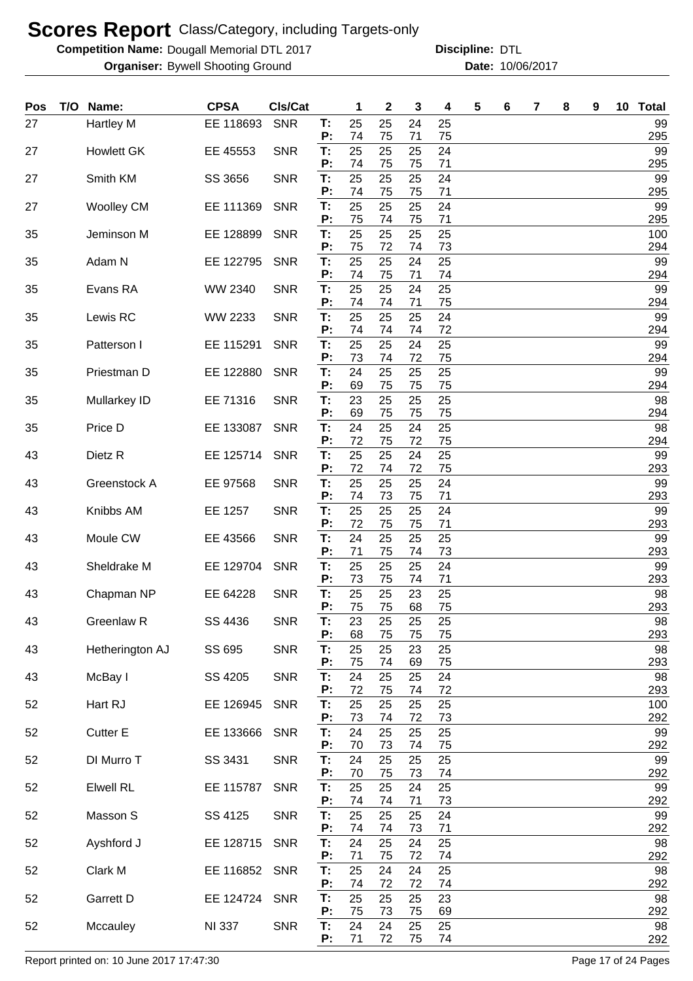**Competition Name: Dougall Memorial DTL 2017 https://www.powerflamerical DTL** 

**Organiser:** Bywell Shooting Ground **10/06/2017 Date:** 10/06/2017 **Discipline:**

| Pos | T/O | Name:             | <b>CPSA</b>   | CIs/Cat    |          | 1        | 2        | 3        | 4        | 5 | 6 | 7 | 8 | 9 | 10 | <b>Total</b> |
|-----|-----|-------------------|---------------|------------|----------|----------|----------|----------|----------|---|---|---|---|---|----|--------------|
| 27  |     | Hartley M         | EE 118693     | <b>SNR</b> | Т:<br>P: | 25<br>74 | 25<br>75 | 24<br>71 | 25<br>75 |   |   |   |   |   |    | 99<br>295    |
| 27  |     | <b>Howlett GK</b> | EE 45553      | <b>SNR</b> | T.<br>P: | 25<br>74 | 25<br>75 | 25<br>75 | 24<br>71 |   |   |   |   |   |    | 99<br>295    |
| 27  |     | Smith KM          | SS 3656       | <b>SNR</b> | Т:       | 25       | 25       | 25       | 24       |   |   |   |   |   |    | 99           |
| 27  |     | <b>Woolley CM</b> | EE 111369     | <b>SNR</b> | P:<br>T. | 74<br>25 | 75<br>25 | 75<br>25 | 71<br>24 |   |   |   |   |   |    | 295<br>99    |
| 35  |     | Jeminson M        | EE 128899     | <b>SNR</b> | P:<br>Т: | 75<br>25 | 74<br>25 | 75<br>25 | 71<br>25 |   |   |   |   |   |    | 295<br>100   |
| 35  |     | Adam N            | EE 122795     | <b>SNR</b> | P:<br>T. | 75<br>25 | 72<br>25 | 74<br>24 | 73<br>25 |   |   |   |   |   |    | 294<br>99    |
|     |     |                   |               |            | P:       | 74       | 75       | 71       | 74       |   |   |   |   |   |    | 294          |
| 35  |     | Evans RA          | WW 2340       | <b>SNR</b> | T:<br>P: | 25<br>74 | 25<br>74 | 24<br>71 | 25<br>75 |   |   |   |   |   |    | 99<br>294    |
| 35  |     | Lewis RC          | WW 2233       | <b>SNR</b> | T:<br>P: | 25<br>74 | 25<br>74 | 25<br>74 | 24<br>72 |   |   |   |   |   |    | 99<br>294    |
| 35  |     | Patterson I       | EE 115291     | <b>SNR</b> | T:<br>P: | 25<br>73 | 25<br>74 | 24<br>72 | 25<br>75 |   |   |   |   |   |    | 99<br>294    |
| 35  |     | Priestman D       | EE 122880     | <b>SNR</b> | T:       | 24       | 25       | 25       | 25       |   |   |   |   |   |    | 99           |
| 35  |     | Mullarkey ID      | EE 71316      | <b>SNR</b> | P:<br>T. | 69<br>23 | 75<br>25 | 75<br>25 | 75<br>25 |   |   |   |   |   |    | 294<br>98    |
| 35  |     | Price D           | EE 133087     | <b>SNR</b> | P:<br>T: | 69<br>24 | 75<br>25 | 75<br>24 | 75<br>25 |   |   |   |   |   |    | 294<br>98    |
|     |     |                   |               |            | P:       | 72       | 75       | 72       | 75       |   |   |   |   |   |    | 294          |
| 43  |     | Dietz R           | EE 125714     | <b>SNR</b> | T:<br>P: | 25<br>72 | 25<br>74 | 24<br>72 | 25<br>75 |   |   |   |   |   |    | 99<br>293    |
| 43  |     | Greenstock A      | EE 97568      | <b>SNR</b> | T:<br>P: | 25<br>74 | 25<br>73 | 25<br>75 | 24<br>71 |   |   |   |   |   |    | 99<br>293    |
| 43  |     | Knibbs AM         | EE 1257       | <b>SNR</b> | T:<br>P: | 25<br>72 | 25<br>75 | 25<br>75 | 24<br>71 |   |   |   |   |   |    | 99<br>293    |
| 43  |     | Moule CW          | EE 43566      | <b>SNR</b> | T:       | 24       | 25       | 25       | 25       |   |   |   |   |   |    | 99           |
| 43  |     | Sheldrake M       | EE 129704     | <b>SNR</b> | P:<br>T: | 71<br>25 | 75<br>25 | 74<br>25 | 73<br>24 |   |   |   |   |   |    | 293<br>99    |
| 43  |     | Chapman NP        | EE 64228      | <b>SNR</b> | P:<br>T: | 73<br>25 | 75<br>25 | 74<br>23 | 71<br>25 |   |   |   |   |   |    | 293<br>98    |
| 43  |     | Greenlaw R        | SS 4436       | <b>SNR</b> | P:<br>Т: | 75<br>23 | 75<br>25 | 68<br>25 | 75<br>25 |   |   |   |   |   |    | 293<br>98    |
|     |     |                   |               |            | P:       | 68       | 75       | 75       | 75       |   |   |   |   |   |    | 293          |
| 43  |     | Hetherington AJ   | SS 695        | <b>SNR</b> | T:<br>Ρ. | 25<br>75 | 25<br>74 | 23<br>69 | 25<br>75 |   |   |   |   |   |    | 98<br>293    |
| 43  |     | McBay I           | SS 4205       | <b>SNR</b> | T.<br>P: | 24<br>72 | 25<br>75 | 25<br>74 | 24<br>72 |   |   |   |   |   |    | 98<br>293    |
| 52  |     | Hart RJ           | EE 126945     | <b>SNR</b> | T:<br>P: | 25<br>73 | 25<br>74 | 25<br>72 | 25<br>73 |   |   |   |   |   |    | 100<br>292   |
| 52  |     | Cutter E          | EE 133666     | <b>SNR</b> | T:       | 24       | 25       | 25       | 25       |   |   |   |   |   |    | 99           |
| 52  |     | DI Murro T        | SS 3431       | <b>SNR</b> | P:<br>T: | 70<br>24 | 73<br>25 | 74<br>25 | 75<br>25 |   |   |   |   |   |    | 292<br>99    |
| 52  |     | <b>Elwell RL</b>  | EE 115787     | <b>SNR</b> | P:<br>T: | 70<br>25 | 75<br>25 | 73<br>24 | 74<br>25 |   |   |   |   |   |    | 292<br>99    |
| 52  |     | Masson S          | SS 4125       | <b>SNR</b> | P:<br>T. | 74<br>25 | 74<br>25 | 71<br>25 | 73<br>24 |   |   |   |   |   |    | 292<br>99    |
|     |     |                   |               |            | P:       | 74       | 74       | 73       | 71       |   |   |   |   |   |    | 292          |
| 52  |     | Ayshford J        | EE 128715     | <b>SNR</b> | T.<br>P: | 24<br>71 | 25<br>75 | 24<br>72 | 25<br>74 |   |   |   |   |   |    | 98<br>292    |
| 52  |     | Clark M           | EE 116852     | <b>SNR</b> | T.<br>P: | 25<br>74 | 24<br>72 | 24<br>72 | 25<br>74 |   |   |   |   |   |    | 98<br>292    |
| 52  |     | Garrett D         | EE 124724     | <b>SNR</b> | T:<br>P: | 25<br>75 | 25<br>73 | 25<br>75 | 23<br>69 |   |   |   |   |   |    | 98<br>292    |
| 52  |     | Mccauley          | <b>NI 337</b> | <b>SNR</b> | T:       | 24       | 24       | 25       | 25       |   |   |   |   |   |    | 98           |
|     |     |                   |               |            | P:       | 71       | 72       | 75       | 74       |   |   |   |   |   |    | 292          |

Report printed on: 10 June 2017 17:47:30 Page 17 of 24 Pages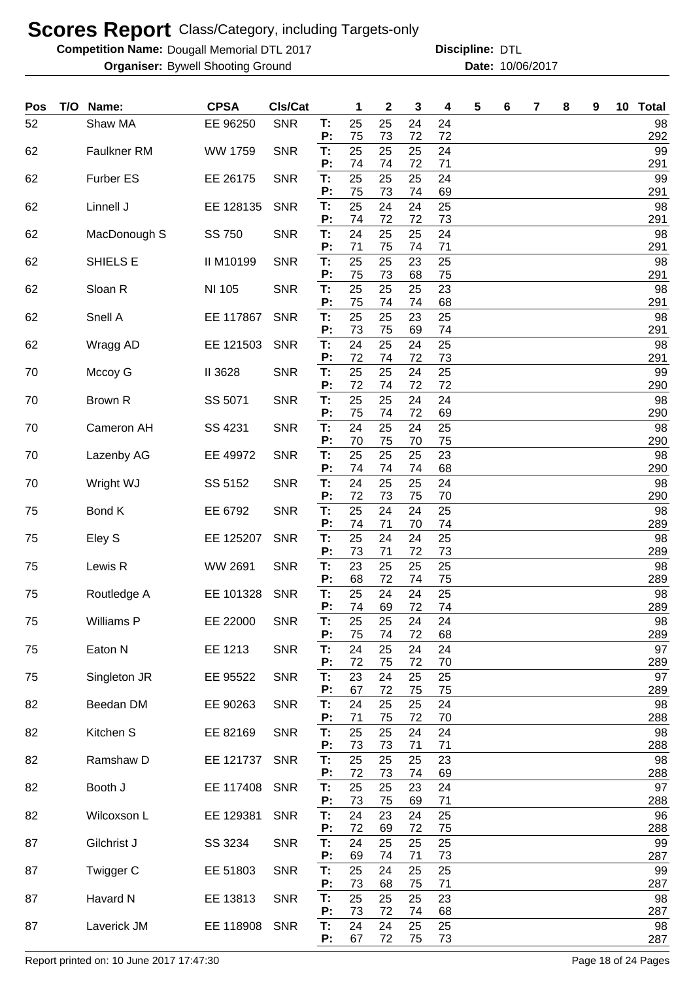**Competition Name: Dougall Memorial DTL 2017 https://www.powerflamerical DTL** 

**Organiser:** Bywell Shooting Ground **10/06/2017 Date:** 10/06/2017 **Discipline:**

| Pos | T/O | Name:              | <b>CPSA</b> | Cls/Cat    |          | 1        | 2        | 3        | 4        | 5 | 6 | 7 | 8 | 9 | 10 Total  |
|-----|-----|--------------------|-------------|------------|----------|----------|----------|----------|----------|---|---|---|---|---|-----------|
| 52  |     | Shaw MA            | EE 96250    | <b>SNR</b> | Τ.<br>P: | 25<br>75 | 25<br>73 | 24<br>72 | 24<br>72 |   |   |   |   |   | 98<br>292 |
| 62  |     | <b>Faulkner RM</b> | WW 1759     | <b>SNR</b> | Т:<br>P: | 25<br>74 | 25<br>74 | 25<br>72 | 24<br>71 |   |   |   |   |   | 99<br>291 |
| 62  |     | Furber ES          | EE 26175    | <b>SNR</b> | Т:<br>P: | 25<br>75 | 25<br>73 | 25<br>74 | 24<br>69 |   |   |   |   |   | 99<br>291 |
| 62  |     | Linnell J          | EE 128135   | <b>SNR</b> | Τ.<br>P: | 25<br>74 | 24<br>72 | 24<br>72 | 25<br>73 |   |   |   |   |   | 98<br>291 |
| 62  |     | MacDonough S       | SS 750      | <b>SNR</b> | T:<br>P: | 24<br>71 | 25<br>75 | 25<br>74 | 24<br>71 |   |   |   |   |   | 98<br>291 |
| 62  |     | SHIELS E           | II M10199   | <b>SNR</b> | T:<br>P: | 25<br>75 | 25<br>73 | 23<br>68 | 25<br>75 |   |   |   |   |   | 98<br>291 |
| 62  |     | Sloan R            | NI 105      | <b>SNR</b> | Τ.<br>P: | 25<br>75 | 25<br>74 | 25<br>74 | 23<br>68 |   |   |   |   |   | 98<br>291 |
| 62  |     | Snell A            | EE 117867   | <b>SNR</b> | Т:<br>P: | 25<br>73 | 25<br>75 | 23<br>69 | 25<br>74 |   |   |   |   |   | 98<br>291 |
| 62  |     | Wragg AD           | EE 121503   | <b>SNR</b> | T:<br>P: | 24<br>72 | 25<br>74 | 24<br>72 | 25<br>73 |   |   |   |   |   | 98<br>291 |
| 70  |     | Mccoy G            | II 3628     | <b>SNR</b> | T:<br>Р: | 25<br>72 | 25<br>74 | 24<br>72 | 25<br>72 |   |   |   |   |   | 99<br>290 |
| 70  |     | Brown R            | SS 5071     | <b>SNR</b> | T:<br>P: | 25<br>75 | 25<br>74 | 24<br>72 | 24<br>69 |   |   |   |   |   | 98<br>290 |
| 70  |     | Cameron AH         | SS 4231     | <b>SNR</b> | T:<br>P: | 24<br>70 | 25<br>75 | 24<br>70 | 25<br>75 |   |   |   |   |   | 98<br>290 |
| 70  |     | Lazenby AG         | EE 49972    | <b>SNR</b> | T:<br>P: | 25<br>74 | 25<br>74 | 25<br>74 | 23<br>68 |   |   |   |   |   | 98<br>290 |
| 70  |     | Wright WJ          | SS 5152     | <b>SNR</b> | T:<br>P: | 24<br>72 | 25<br>73 | 25<br>75 | 24<br>70 |   |   |   |   |   | 98<br>290 |
| 75  |     | Bond K             | EE 6792     | <b>SNR</b> | Τ.<br>P: | 25<br>74 | 24<br>71 | 24<br>70 | 25<br>74 |   |   |   |   |   | 98<br>289 |
| 75  |     | Eley S             | EE 125207   | <b>SNR</b> | T:<br>P: | 25<br>73 | 24<br>71 | 24<br>72 | 25<br>73 |   |   |   |   |   | 98<br>289 |
| 75  |     | Lewis R            | WW 2691     | <b>SNR</b> | T:<br>P: | 23<br>68 | 25<br>72 | 25<br>74 | 25<br>75 |   |   |   |   |   | 98<br>289 |
| 75  |     | Routledge A        | EE 101328   | <b>SNR</b> | T:<br>P: | 25<br>74 | 24<br>69 | 24<br>72 | 25<br>74 |   |   |   |   |   | 98<br>289 |
| 75  |     | Williams P         | EE 22000    | <b>SNR</b> | T:<br>P: | 25<br>75 | 25<br>74 | 24<br>72 | 24<br>68 |   |   |   |   |   | 98<br>289 |
| 75  |     | Eaton N            | EE 1213     | <b>SNR</b> | T:<br>P: | 24<br>72 | 25<br>75 | 24<br>72 | 24<br>70 |   |   |   |   |   | 97<br>289 |
| 75  |     | Singleton JR       | EE 95522    | <b>SNR</b> | T:<br>P: | 23<br>67 | 24<br>72 | 25<br>75 | 25<br>75 |   |   |   |   |   | 97<br>289 |
| 82  |     | Beedan DM          | EE 90263    | <b>SNR</b> | T:<br>P: | 24<br>71 | 25<br>75 | 25<br>72 | 24<br>70 |   |   |   |   |   | 98<br>288 |
| 82  |     | Kitchen S          | EE 82169    | <b>SNR</b> | T:<br>P: | 25<br>73 | 25<br>73 | 24<br>71 | 24<br>71 |   |   |   |   |   | 98<br>288 |
| 82  |     | Ramshaw D          | EE 121737   | <b>SNR</b> | T:<br>P: | 25<br>72 | 25<br>73 | 25<br>74 | 23<br>69 |   |   |   |   |   | 98<br>288 |
| 82  |     | Booth J            | EE 117408   | <b>SNR</b> | T:<br>P: | 25<br>73 | 25<br>75 | 23<br>69 | 24<br>71 |   |   |   |   |   | 97<br>288 |
| 82  |     | Wilcoxson L        | EE 129381   | <b>SNR</b> | T:<br>P: | 24<br>72 | 23<br>69 | 24<br>72 | 25<br>75 |   |   |   |   |   | 96<br>288 |
| 87  |     | Gilchrist J        | SS 3234     | <b>SNR</b> | T:       | 24       | 25       | 25       | 25       |   |   |   |   |   | 99        |
| 87  |     | Twigger C          | EE 51803    | <b>SNR</b> | P:<br>T: | 69<br>25 | 74<br>24 | 71<br>25 | 73<br>25 |   |   |   |   |   | 287<br>99 |
| 87  |     | Havard N           | EE 13813    | <b>SNR</b> | P:<br>T. | 73<br>25 | 68<br>25 | 75<br>25 | 71<br>23 |   |   |   |   |   | 287<br>98 |
| 87  |     | Laverick JM        | EE 118908   | <b>SNR</b> | P:<br>T. | 73<br>24 | 72<br>24 | 74<br>25 | 68<br>25 |   |   |   |   |   | 287<br>98 |
|     |     |                    |             |            | Ρ:       | 67       | 72       | 75       | 73       |   |   |   |   |   | 287       |

Report printed on: 10 June 2017 17:47:30 Page 18 of 24 Pages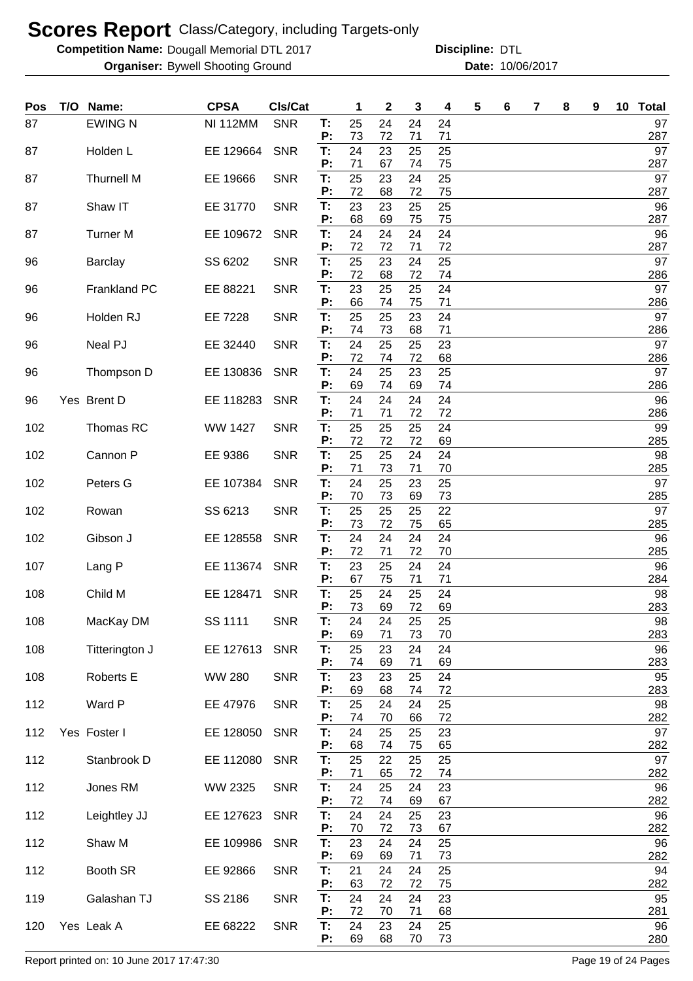**Competition Name: Dougall Memorial DTL 2017 https://www.powerflamerical DTL** 

**Organiser:** Bywell Shooting Ground **10/06/2017 Date:** 10/06/2017 **Discipline:**

| <b>Pos</b> | T/O | Name:           | <b>CPSA</b>     | Cls/Cat    |          | 1        | 2        | 3        | 4        | 5 | 6 | 7 | 8 | 9 | 10 Total  |
|------------|-----|-----------------|-----------------|------------|----------|----------|----------|----------|----------|---|---|---|---|---|-----------|
| 87         |     | <b>EWING N</b>  | <b>NI 112MM</b> | <b>SNR</b> | T:<br>P: | 25<br>73 | 24<br>72 | 24<br>71 | 24<br>71 |   |   |   |   |   | 97<br>287 |
| 87         |     | Holden L        | EE 129664       | <b>SNR</b> | T:       | 24       | 23       | 25       | 25       |   |   |   |   |   | 97        |
| 87         |     | Thurnell M      | EE 19666        | <b>SNR</b> | Р:<br>T: | 71<br>25 | 67<br>23 | 74<br>24 | 75<br>25 |   |   |   |   |   | 287<br>97 |
| 87         |     | Shaw IT         | EE 31770        | <b>SNR</b> | P:<br>T: | 72<br>23 | 68<br>23 | 72<br>25 | 75<br>25 |   |   |   |   |   | 287<br>96 |
|            |     |                 |                 |            | P:       | 68       | 69       | 75       | 75       |   |   |   |   |   | 287       |
| 87         |     | <b>Turner M</b> | EE 109672       | <b>SNR</b> | T:<br>P: | 24<br>72 | 24<br>72 | 24<br>71 | 24<br>72 |   |   |   |   |   | 96<br>287 |
| 96         |     | <b>Barclay</b>  | SS 6202         | <b>SNR</b> | T:<br>P: | 25<br>72 | 23<br>68 | 24<br>72 | 25<br>74 |   |   |   |   |   | 97<br>286 |
| 96         |     | Frankland PC    | EE 88221        | <b>SNR</b> | T:<br>P: | 23<br>66 | 25<br>74 | 25<br>75 | 24<br>71 |   |   |   |   |   | 97<br>286 |
| 96         |     | Holden RJ       | EE 7228         | <b>SNR</b> | T:       | 25       | 25       | 23       | 24       |   |   |   |   |   | 97        |
| 96         |     | Neal PJ         | EE 32440        | <b>SNR</b> | Ρ.<br>T: | 74<br>24 | 73<br>25 | 68<br>25 | 71<br>23 |   |   |   |   |   | 286<br>97 |
|            |     |                 |                 |            | P:       | 72<br>24 | 74       | 72       | 68<br>25 |   |   |   |   |   | 286<br>97 |
| 96         |     | Thompson D      | EE 130836       | <b>SNR</b> | T:<br>Ρ: | 69       | 25<br>74 | 23<br>69 | 74       |   |   |   |   |   | 286       |
| 96         |     | Yes Brent D     | EE 118283       | <b>SNR</b> | T:<br>P: | 24<br>71 | 24<br>71 | 24<br>72 | 24<br>72 |   |   |   |   |   | 96<br>286 |
| 102        |     | Thomas RC       | <b>WW 1427</b>  | <b>SNR</b> | T:       | 25       | 25       | 25<br>72 | 24       |   |   |   |   |   | 99        |
| 102        |     | Cannon P        | EE 9386         | <b>SNR</b> | P:<br>T: | 72<br>25 | 72<br>25 | 24       | 69<br>24 |   |   |   |   |   | 285<br>98 |
| 102        |     | Peters G        | EE 107384       | <b>SNR</b> | P:<br>T: | 71<br>24 | 73<br>25 | 71<br>23 | 70<br>25 |   |   |   |   |   | 285<br>97 |
|            |     |                 |                 |            | P:       | 70       | 73       | 69       | 73       |   |   |   |   |   | 285       |
| 102        |     | Rowan           | SS 6213         | <b>SNR</b> | T:<br>P: | 25<br>73 | 25<br>72 | 25<br>75 | 22<br>65 |   |   |   |   |   | 97<br>285 |
| 102        |     | Gibson J        | EE 128558       | <b>SNR</b> | T:<br>Ρ. | 24<br>72 | 24<br>71 | 24<br>72 | 24<br>70 |   |   |   |   |   | 96<br>285 |
| 107        |     | Lang P          | EE 113674       | <b>SNR</b> | T:       | 23       | 25       | 24       | 24       |   |   |   |   |   | 96        |
| 108        |     | Child M         | EE 128471       | <b>SNR</b> | Р:<br>T: | 67<br>25 | 75<br>24 | 71<br>25 | 71<br>24 |   |   |   |   |   | 284<br>98 |
| 108        |     | MacKay DM       | SS 1111         | <b>SNR</b> | P:<br>Т: | 73<br>24 | 69<br>24 | 72<br>25 | 69<br>25 |   |   |   |   |   | 283<br>98 |
|            |     |                 |                 |            | P:       | 69       | 71       | 73       | 70       |   |   |   |   |   | 283       |
| 108        |     | Titterington J  | EE 127613       | <b>SNR</b> | T:<br>Р: | 25<br>74 | 23<br>69 | 24<br>71 | 24<br>69 |   |   |   |   |   | 96<br>283 |
| 108        |     | Roberts E       | <b>WW 280</b>   | <b>SNR</b> | T:<br>Ρ: | 23<br>69 | 23<br>68 | 25<br>74 | 24<br>72 |   |   |   |   |   | 95<br>283 |
| 112        |     | Ward P          | EE 47976        | <b>SNR</b> | T:       | 25       | 24       | 24       | 25       |   |   |   |   |   | 98        |
| 112        |     | Yes Foster I    | EE 128050       | <b>SNR</b> | Ρ:<br>T: | 74<br>24 | 70<br>25 | 66<br>25 | 72<br>23 |   |   |   |   |   | 282<br>97 |
|            |     |                 |                 |            | P:       | 68       | 74       | 75       | 65       |   |   |   |   |   | 282       |
| 112        |     | Stanbrook D     | EE 112080       | <b>SNR</b> | T:<br>Ρ: | 25<br>71 | 22<br>65 | 25<br>72 | 25<br>74 |   |   |   |   |   | 97<br>282 |
| 112        |     | Jones RM        | WW 2325         | <b>SNR</b> | T:<br>P: | 24<br>72 | 25<br>74 | 24<br>69 | 23<br>67 |   |   |   |   |   | 96<br>282 |
| 112        |     | Leightley JJ    | EE 127623       | <b>SNR</b> | T:       | 24       | 24       | 25       | 23       |   |   |   |   |   | 96        |
| 112        |     | Shaw M          | EE 109986       | <b>SNR</b> | P:<br>T: | 70<br>23 | 72<br>24 | 73<br>24 | 67<br>25 |   |   |   |   |   | 282<br>96 |
| 112        |     | Booth SR        | EE 92866        | <b>SNR</b> | P:<br>T: | 69<br>21 | 69<br>24 | 71<br>24 | 73<br>25 |   |   |   |   |   | 282<br>94 |
|            |     |                 |                 |            | P:       | 63       | 72       | 72       | 75       |   |   |   |   |   | 282       |
| 119        |     | Galashan TJ     | SS 2186         | <b>SNR</b> | T:<br>Ρ: | 24<br>72 | 24<br>70 | 24<br>71 | 23<br>68 |   |   |   |   |   | 95<br>281 |
| 120        |     | Yes Leak A      | EE 68222        | <b>SNR</b> | T:<br>P: | 24<br>69 | 23<br>68 | 24<br>70 | 25<br>73 |   |   |   |   |   | 96<br>280 |

Report printed on: 10 June 2017 17:47:30 Page 19 of 24 Pages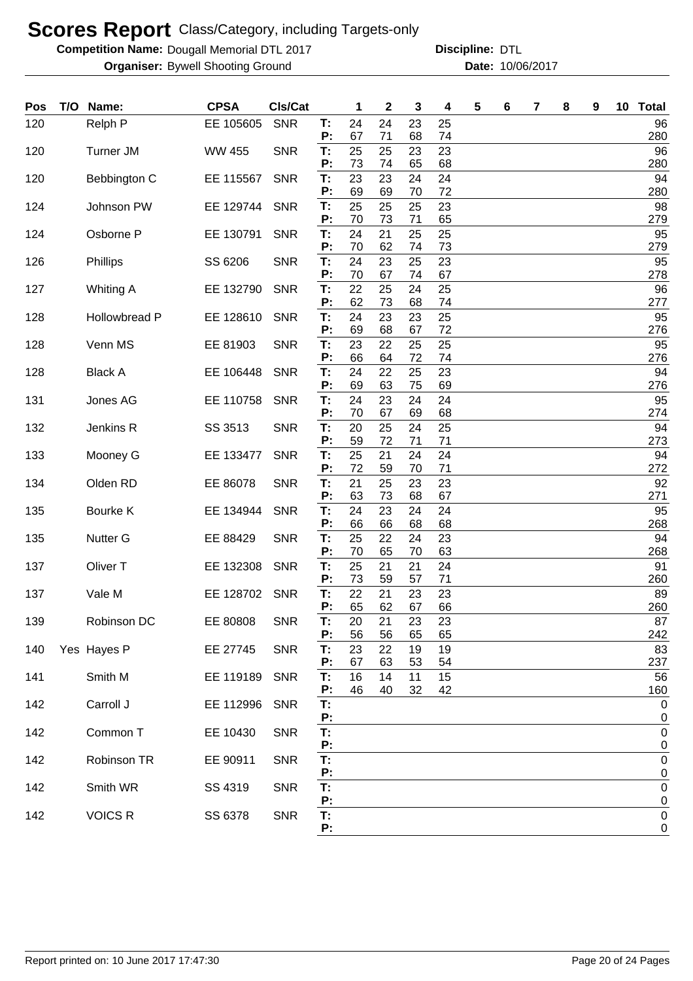**Competition Name: Dougall Memorial DTL 2017 https://www.powerflamerical DTL** 

| Pos | T/O | Name:               | <b>CPSA</b>   | Cls/Cat    |          | 1        | $\mathbf 2$ | 3        | 4        | 5 | 6 | 7 | 8 | 9 | 10 <sub>1</sub> | <b>Total</b>                    |
|-----|-----|---------------------|---------------|------------|----------|----------|-------------|----------|----------|---|---|---|---|---|-----------------|---------------------------------|
| 120 |     | Relph P             | EE 105605     | <b>SNR</b> | Т:<br>P: | 24<br>67 | 24<br>71    | 23<br>68 | 25<br>74 |   |   |   |   |   |                 | 96<br>280                       |
| 120 |     | <b>Turner JM</b>    | <b>WW 455</b> | <b>SNR</b> | T:       | 25       | 25          | 23       | 23       |   |   |   |   |   |                 | 96                              |
|     |     |                     |               |            | P:       | 73       | 74          | 65       | 68       |   |   |   |   |   |                 | 280                             |
| 120 |     | Bebbington C        | EE 115567     | <b>SNR</b> | T:<br>P: | 23<br>69 | 23<br>69    | 24<br>70 | 24<br>72 |   |   |   |   |   |                 | 94<br>280                       |
| 124 |     | Johnson PW          | EE 129744     | <b>SNR</b> | T:       | 25       | 25          | 25       | 23       |   |   |   |   |   |                 | 98                              |
| 124 |     | Osborne P           | EE 130791     | <b>SNR</b> | P:<br>T: | 70<br>24 | 73<br>21    | 71<br>25 | 65<br>25 |   |   |   |   |   |                 | 279<br>95                       |
| 126 |     | Phillips            | SS 6206       | <b>SNR</b> | P:<br>T: | 70<br>24 | 62<br>23    | 74<br>25 | 73<br>23 |   |   |   |   |   |                 | 279<br>95                       |
|     |     |                     |               |            | P:       | 70       | 67          | 74       | 67       |   |   |   |   |   |                 | 278                             |
| 127 |     | Whiting A           | EE 132790     | <b>SNR</b> | T:<br>P: | 22<br>62 | 25<br>73    | 24<br>68 | 25<br>74 |   |   |   |   |   |                 | 96<br>277                       |
| 128 |     | Hollowbread P       | EE 128610     | <b>SNR</b> | T:<br>P: | 24<br>69 | 23<br>68    | 23<br>67 | 25<br>72 |   |   |   |   |   |                 | 95<br>276                       |
| 128 |     | Venn MS             | EE 81903      | <b>SNR</b> | T:       | 23       | 22          | 25       | 25       |   |   |   |   |   |                 | 95                              |
|     |     |                     |               |            | P:       | 66       | 64          | 72       | 74       |   |   |   |   |   |                 | 276                             |
| 128 |     | <b>Black A</b>      | EE 106448     | <b>SNR</b> | T:<br>P: | 24<br>69 | 22<br>63    | 25<br>75 | 23<br>69 |   |   |   |   |   |                 | 94<br>276                       |
| 131 |     | Jones AG            | EE 110758     | <b>SNR</b> | T:       | 24       | 23          | 24       | 24       |   |   |   |   |   |                 | 95                              |
|     |     |                     |               |            | P:       | 70       | 67          | 69       | 68       |   |   |   |   |   |                 | 274                             |
| 132 |     | Jenkins R           | SS 3513       | <b>SNR</b> | T:<br>P: | 20<br>59 | 25<br>72    | 24<br>71 | 25<br>71 |   |   |   |   |   |                 | 94<br>273                       |
| 133 |     | Mooney G            | EE 133477     | <b>SNR</b> | T:       | 25       | 21          | 24       | 24       |   |   |   |   |   |                 | 94                              |
| 134 |     | Olden RD            | EE 86078      | <b>SNR</b> | P:<br>T: | 72<br>21 | 59<br>25    | 70<br>23 | 71<br>23 |   |   |   |   |   |                 | 272<br>92                       |
|     |     |                     |               |            | P:       | 63       | 73          | 68       | 67       |   |   |   |   |   |                 | 271                             |
| 135 |     | Bourke K            | EE 134944     | <b>SNR</b> | T:<br>P: | 24<br>66 | 23<br>66    | 24<br>68 | 24<br>68 |   |   |   |   |   |                 | 95<br>268                       |
| 135 |     | <b>Nutter G</b>     | EE 88429      | <b>SNR</b> | T:       | 25       | 22          | 24       | 23       |   |   |   |   |   |                 | 94                              |
| 137 |     | Oliver <sub>T</sub> | EE 132308     | <b>SNR</b> | P:<br>T: | 70<br>25 | 65<br>21    | 70<br>21 | 63<br>24 |   |   |   |   |   |                 | 268<br>91                       |
|     |     |                     |               |            | P:       | 73       | 59          | 57       | 71       |   |   |   |   |   |                 | 260                             |
| 137 |     | Vale M              | EE 128702     | <b>SNR</b> | T:<br>P: | 22<br>65 | 21<br>62    | 23<br>67 | 23<br>66 |   |   |   |   |   |                 | 89<br>260                       |
| 139 |     | Robinson DC         | EE 80808      | <b>SNR</b> | Т.       | 20       | 21          | 23       | 23       |   |   |   |   |   |                 | 87                              |
| 140 |     | Yes Hayes P         | EE 27745      | <b>SNR</b> | P:<br>T: | 56<br>23 | 56<br>22    | 65<br>19 | 65<br>19 |   |   |   |   |   |                 | 242<br>83                       |
|     |     |                     |               |            | P:       | 67       | 63          | 53       | 54       |   |   |   |   |   |                 | 237                             |
| 141 |     | Smith M             | EE 119189     | <b>SNR</b> | T:<br>P: | 16<br>46 | 14<br>40    | 11<br>32 | 15<br>42 |   |   |   |   |   |                 | 56<br>160                       |
| 142 |     | Carroll J           | EE 112996     | <b>SNR</b> | T:<br>P: |          |             |          |          |   |   |   |   |   |                 | 0<br>0                          |
| 142 |     | Common T            | EE 10430      | <b>SNR</b> | T:       |          |             |          |          |   |   |   |   |   |                 | 0                               |
| 142 |     | Robinson TR         | EE 90911      | <b>SNR</b> | P:<br>T: |          |             |          |          |   |   |   |   |   |                 | 0<br>0                          |
|     |     |                     |               |            | P:       |          |             |          |          |   |   |   |   |   |                 | 0                               |
| 142 |     | Smith WR            | SS 4319       | <b>SNR</b> | T:       |          |             |          |          |   |   |   |   |   |                 | 0                               |
| 142 |     | <b>VOICS R</b>      | SS 6378       | <b>SNR</b> | P:<br>T: |          |             |          |          |   |   |   |   |   |                 | $\mathbf 0$<br>$\boldsymbol{0}$ |
|     |     |                     |               |            | P:       |          |             |          |          |   |   |   |   |   |                 | $\mathbf 0$                     |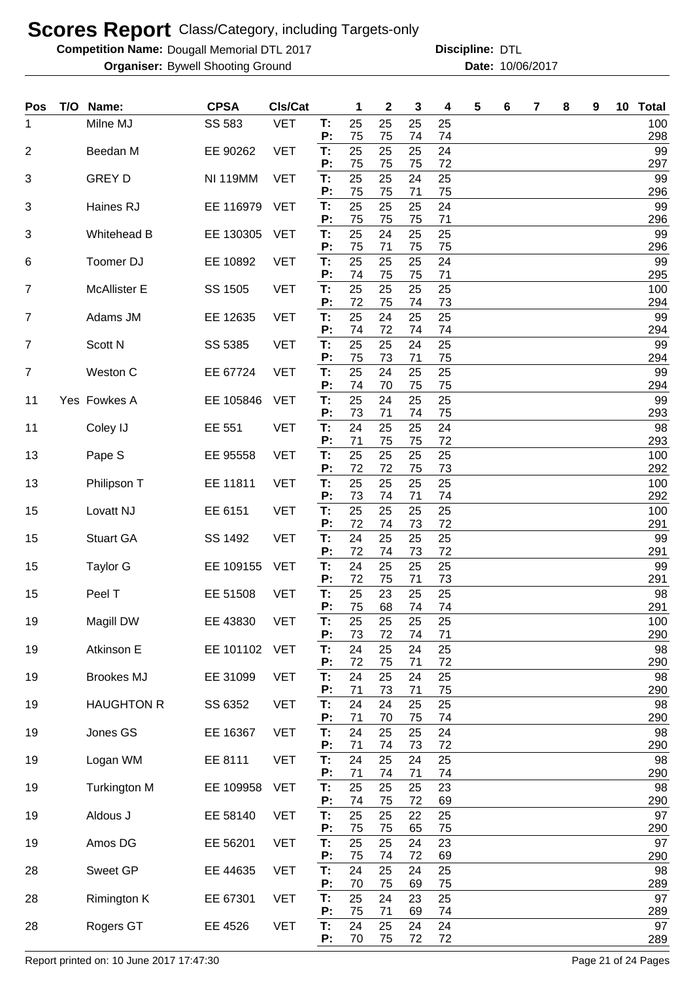**Competition Name: Dougall Memorial DTL 2017 https://www.powerflamerical DTL** 

**Organiser:** Bywell Shooting Ground **10/06/2017 Date:** 10/06/2017 **Discipline:**

| Pos            | T/O Name:           | <b>CPSA</b>     | CIs/Cat    |                | 1              | 2              | 3              | 4              | 5 | 6 | 7 | 8 | 9 | 10 <sub>1</sub> | <b>Total</b> |
|----------------|---------------------|-----------------|------------|----------------|----------------|----------------|----------------|----------------|---|---|---|---|---|-----------------|--------------|
| 1              | Milne MJ            | SS 583          | <b>VET</b> | Т:<br>P:       | 25<br>75       | 25<br>75       | 25<br>74       | 25<br>74       |   |   |   |   |   |                 | 100<br>298   |
| $\overline{2}$ | Beedan M            | EE 90262        | <b>VET</b> | T:             | 25             | 25             | 25             | 24             |   |   |   |   |   |                 | 99           |
| 3              | <b>GREY D</b>       | <b>NI 119MM</b> | <b>VET</b> | P:<br>T.       | 75<br>25       | 75<br>25       | 75<br>24       | 72<br>25       |   |   |   |   |   |                 | 297<br>99    |
|                |                     |                 |            | P:             | 75             | 75             | 71             | 75             |   |   |   |   |   |                 | 296          |
| 3              | Haines RJ           | EE 116979       | <b>VET</b> | T.<br>P:       | 25<br>75       | 25<br>75       | 25<br>75       | 24<br>71       |   |   |   |   |   |                 | 99<br>296    |
| 3              | Whitehead B         | EE 130305       | <b>VET</b> | Т:<br>P:       | 25<br>75       | 24<br>71       | 25<br>75       | 25<br>75       |   |   |   |   |   |                 | 99<br>296    |
| 6              | Toomer DJ           | EE 10892        | <b>VET</b> | Т:             | 25             | 25             | 25             | 24             |   |   |   |   |   |                 | 99           |
| 7              | <b>McAllister E</b> | SS 1505         | <b>VET</b> | P:<br>Т:<br>P: | 74<br>25<br>72 | 75<br>25<br>75 | 75<br>25<br>74 | 71<br>25<br>73 |   |   |   |   |   |                 | 295<br>100   |
| 7              | Adams JM            | EE 12635        | <b>VET</b> | Т:             | 25             | 24             | 25             | 25             |   |   |   |   |   |                 | 294<br>99    |
| $\overline{7}$ | Scott N             | SS 5385         | <b>VET</b> | P:<br>Т:       | 74<br>25       | 72<br>25       | 74<br>24       | 74<br>25       |   |   |   |   |   |                 | 294<br>99    |
|                |                     |                 |            | Ρ.             | 75             | 73             | 71             | 75             |   |   |   |   |   |                 | 294          |
| $\overline{7}$ | Weston C            | EE 67724        | <b>VET</b> | T:<br>P:       | 25<br>74       | 24<br>70       | 25<br>75       | 25<br>75       |   |   |   |   |   |                 | 99<br>294    |
| 11             | Yes Fowkes A        | EE 105846       | <b>VET</b> | Т:<br>P:       | 25<br>73       | 24<br>71       | 25<br>74       | 25<br>75       |   |   |   |   |   |                 | 99<br>293    |
| 11             | Coley IJ            | EE 551          | <b>VET</b> | T:             | 24             | 25             | 25             | 24             |   |   |   |   |   |                 | 98           |
| 13             | Pape S              | EE 95558        | <b>VET</b> | P:<br>Т:       | 71<br>25       | 75<br>25       | 75<br>25       | 72<br>25       |   |   |   |   |   |                 | 293<br>100   |
|                |                     |                 |            | P:             | 72             | 72             | 75             | 73             |   |   |   |   |   |                 | 292          |
| 13             | Philipson T         | EE 11811        | <b>VET</b> | T:<br>P:       | 25<br>73       | 25<br>74       | 25<br>71       | 25<br>74       |   |   |   |   |   |                 | 100<br>292   |
| 15             | Lovatt NJ           | EE 6151         | <b>VET</b> | T:<br>Ρ.       | 25<br>72       | 25<br>74       | 25<br>73       | 25<br>72       |   |   |   |   |   |                 | 100<br>291   |
| 15             | <b>Stuart GA</b>    | SS 1492         | <b>VET</b> | T:             | 24             | 25             | 25             | 25             |   |   |   |   |   |                 | 99           |
| 15             | Taylor G            | EE 109155       | <b>VET</b> | P:<br>T:       | 72<br>24       | 74<br>25       | 73<br>25       | 72<br>25       |   |   |   |   |   |                 | 291<br>99    |
|                |                     |                 |            | P:             | 72             | 75             | 71             | 73             |   |   |   |   |   |                 | 291          |
| 15             | Peel T              | EE 51508        | <b>VET</b> | T:<br>P:       | 25<br>75       | 23<br>68       | 25<br>74       | 25<br>74       |   |   |   |   |   |                 | 98<br>291    |
| 19             | Magill DW           | EE 43830        | <b>VET</b> | Т:<br>P:       | 25<br>73       | 25<br>72       | 25<br>74       | 25<br>71       |   |   |   |   |   |                 | 100<br>290   |
| 19             | Atkinson E          | EE 101102       | <b>VET</b> | T:<br>P:       | 24<br>72       | 25<br>75       | 24<br>71       | 25<br>72       |   |   |   |   |   |                 | 98<br>290    |
| 19             | <b>Brookes MJ</b>   | EE 31099        | <b>VET</b> | T.             | 24             | 25             | 24             | 25             |   |   |   |   |   |                 | 98           |
| 19             | <b>HAUGHTON R</b>   | SS 6352         | <b>VET</b> | Ρ.<br>T:       | 71<br>24       | 73<br>24       | 71<br>25       | 75<br>25       |   |   |   |   |   |                 | 290<br>98    |
| 19             | Jones GS            | EE 16367        | <b>VET</b> | Ρ.<br>T:       | 71<br>24       | 70<br>25       | 75<br>25       | 74<br>24       |   |   |   |   |   |                 | 290<br>98    |
|                |                     |                 |            | P:             | 71             | 74             | 73             | 72             |   |   |   |   |   |                 | 290          |
| 19             | Logan WM            | EE 8111         | <b>VET</b> | T:<br>P:       | 24<br>71       | 25<br>74       | 24<br>71       | 25<br>74       |   |   |   |   |   |                 | 98<br>290    |
| 19             | <b>Turkington M</b> | EE 109958       | <b>VET</b> | T:<br>P:       | 25<br>74       | 25<br>75       | 25<br>72       | 23<br>69       |   |   |   |   |   |                 | 98<br>290    |
| 19             | Aldous J            | EE 58140        | <b>VET</b> | T:<br>P:       | 25<br>75       | 25<br>75       | 22<br>65       | 25<br>75       |   |   |   |   |   |                 | 97<br>290    |
| 19             | Amos DG             | EE 56201        | <b>VET</b> | T:             | 25             | 25             | 24             | 23             |   |   |   |   |   |                 | 97           |
| 28             | Sweet GP            | EE 44635        | <b>VET</b> | P:<br>T:       | 75<br>24       | 74<br>25       | 72<br>24       | 69<br>25       |   |   |   |   |   |                 | 290<br>98    |
| 28             | Rimington K         | EE 67301        | <b>VET</b> | P:<br>T.       | 70<br>25       | 75<br>24       | 69<br>23       | 75<br>25       |   |   |   |   |   |                 | 289<br>97    |
|                |                     |                 |            | P:             | 75             | 71             | 69             | 74             |   |   |   |   |   |                 | 289          |
| 28             | Rogers GT           | EE 4526         | <b>VET</b> | T:<br>P:       | 24<br>70       | 25<br>75       | 24<br>72       | 24<br>72       |   |   |   |   |   |                 | 97<br>289    |

Report printed on: 10 June 2017 17:47:30 Page 21 of 24 Pages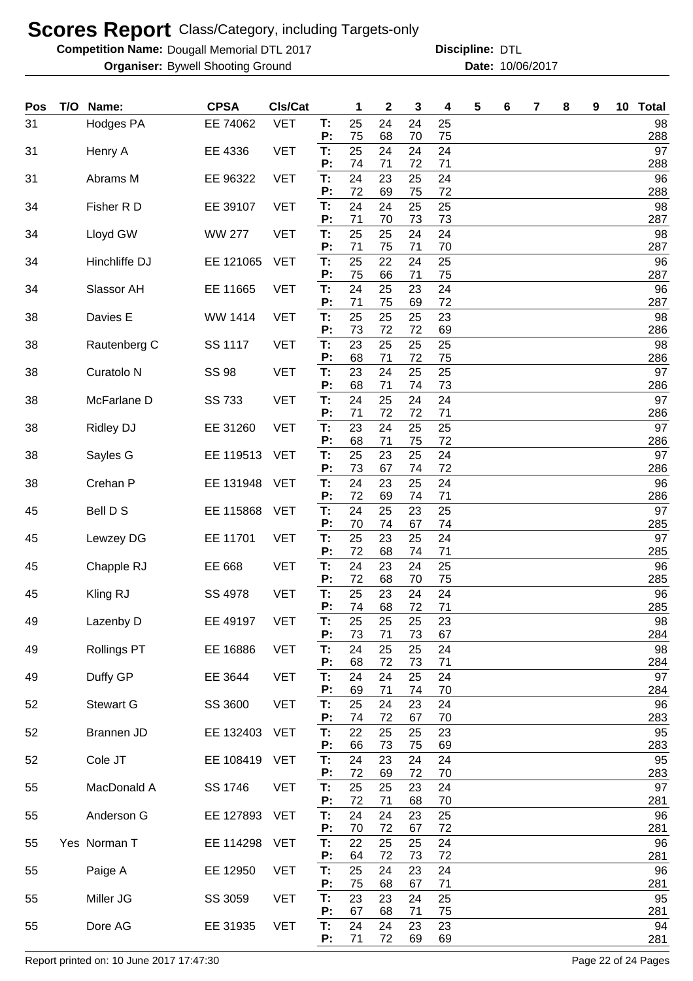**Competition Name: Dougall Memorial DTL 2017 https://www.powerflamerical DTL** 

**Organiser:** Bywell Shooting Ground **10/06/2017 Date:** 10/06/2017 **Discipline:**

| Pos | T/O Name:             | <b>CPSA</b>   | CIs/Cat    |          | 1        | $\mathbf{2}$ | 3        | 4        | 5 | 6 | 7 | 8 | 9 | 10 Total  |
|-----|-----------------------|---------------|------------|----------|----------|--------------|----------|----------|---|---|---|---|---|-----------|
| 31  | Hodges PA             | EE 74062      | <b>VET</b> | T:<br>P: | 25<br>75 | 24<br>68     | 24<br>70 | 25<br>75 |   |   |   |   |   | 98<br>288 |
| 31  | Henry A               | EE 4336       | <b>VET</b> | T:       | 25       | 24           | 24       | 24       |   |   |   |   |   | 97        |
| 31  | Abrams M              | EE 96322      | <b>VET</b> | P:<br>T. | 74<br>24 | 71<br>23     | 72<br>25 | 71<br>24 |   |   |   |   |   | 288<br>96 |
| 34  | Fisher R D            | EE 39107      | <b>VET</b> | P:<br>T: | 72<br>24 | 69<br>24     | 75<br>25 | 72<br>25 |   |   |   |   |   | 288<br>98 |
|     |                       |               |            | P:       | 71       | 70           | 73       | 73       |   |   |   |   |   | 287       |
| 34  | Lloyd GW              | <b>WW 277</b> | <b>VET</b> | T:<br>P: | 25<br>71 | 25<br>75     | 24<br>71 | 24<br>70 |   |   |   |   |   | 98<br>287 |
| 34  | Hinchliffe DJ         | EE 121065     | <b>VET</b> | T:<br>P: | 25<br>75 | 22<br>66     | 24<br>71 | 25<br>75 |   |   |   |   |   | 96<br>287 |
| 34  | Slassor AH            | EE 11665      | <b>VET</b> | T:<br>P: | 24<br>71 | 25<br>75     | 23<br>69 | 24<br>72 |   |   |   |   |   | 96<br>287 |
| 38  | Davies E              | WW 1414       | <b>VET</b> | T:<br>P: | 25<br>73 | 25           | 25       | 23       |   |   |   |   |   | 98        |
| 38  | Rautenberg C          | SS 1117       | <b>VET</b> | T:       | 23       | 72<br>25     | 72<br>25 | 69<br>25 |   |   |   |   |   | 286<br>98 |
| 38  | Curatolo <sub>N</sub> | <b>SS 98</b>  | <b>VET</b> | P:<br>T: | 68<br>23 | 71<br>24     | 72<br>25 | 75<br>25 |   |   |   |   |   | 286<br>97 |
| 38  | McFarlane D           | SS 733        | <b>VET</b> | P:<br>T: | 68<br>24 | 71<br>25     | 74<br>24 | 73<br>24 |   |   |   |   |   | 286<br>97 |
|     |                       |               | <b>VET</b> | P:       | 71<br>23 | 72<br>24     | 72<br>25 | 71<br>25 |   |   |   |   |   | 286<br>97 |
| 38  | <b>Ridley DJ</b>      | EE 31260      |            | T:<br>P: | 68       | 71           | 75       | 72       |   |   |   |   |   | 286       |
| 38  | Sayles G              | EE 119513     | <b>VET</b> | T:<br>P: | 25<br>73 | 23<br>67     | 25<br>74 | 24<br>72 |   |   |   |   |   | 97<br>286 |
| 38  | Crehan P              | EE 131948     | <b>VET</b> | T:       | 24       | 23           | 25       | 24       |   |   |   |   |   | 96        |
| 45  | Bell D S              | EE 115868     | <b>VET</b> | P:<br>T: | 72<br>24 | 69<br>25     | 74<br>23 | 71<br>25 |   |   |   |   |   | 286<br>97 |
| 45  | Lewzey DG             | EE 11701      | <b>VET</b> | P:<br>T: | 70<br>25 | 74<br>23     | 67<br>25 | 74<br>24 |   |   |   |   |   | 285<br>97 |
| 45  | Chapple RJ            | EE 668        | <b>VET</b> | P:<br>T: | 72<br>24 | 68<br>23     | 74<br>24 | 71<br>25 |   |   |   |   |   | 285<br>96 |
| 45  | Kling RJ              | SS 4978       | <b>VET</b> | P:<br>T: | 72<br>25 | 68<br>23     | 70<br>24 | 75<br>24 |   |   |   |   |   | 285<br>96 |
|     |                       |               |            | P:       | 74       | 68           | 72       | 71       |   |   |   |   |   | 285       |
| 49  | Lazenby D             | EE 49197      | <b>VET</b> | Т:<br>P: | 25<br>73 | 25<br>71     | 25<br>73 | 23<br>67 |   |   |   |   |   | 98<br>284 |
| 49  | <b>Rollings PT</b>    | EE 16886      | <b>VET</b> | T:<br>P: | 24<br>68 | 25<br>72     | 25<br>73 | 24<br>71 |   |   |   |   |   | 98<br>284 |
| 49  | Duffy GP              | EE 3644       | <b>VET</b> | T:<br>P: | 24<br>69 | 24<br>71     | 25<br>74 | 24<br>70 |   |   |   |   |   | 97<br>284 |
| 52  | Stewart G             | SS 3600       | <b>VET</b> | T:       | 25       | 24           | 23       | 24       |   |   |   |   |   | 96        |
| 52  | Brannen JD            | EE 132403     | <b>VET</b> | P:<br>T: | 74<br>22 | 72<br>25     | 67<br>25 | 70<br>23 |   |   |   |   |   | 283<br>95 |
|     |                       |               |            | P:       | 66       | 73           | 75       | 69       |   |   |   |   |   | 283       |
| 52  | Cole JT               | EE 108419     | <b>VET</b> | T:<br>P: | 24<br>72 | 23<br>69     | 24<br>72 | 24<br>70 |   |   |   |   |   | 95<br>283 |
| 55  | MacDonald A           | SS 1746       | <b>VET</b> | T:<br>P: | 25<br>72 | 25<br>71     | 23<br>68 | 24<br>70 |   |   |   |   |   | 97<br>281 |
| 55  | Anderson G            | EE 127893     | <b>VET</b> | T:<br>Ρ. | 24<br>70 | 24<br>72     | 23<br>67 | 25<br>72 |   |   |   |   |   | 96<br>281 |
| 55  | Yes Norman T          | EE 114298     | <b>VET</b> | T:       | 22       | 25           | 25       | 24       |   |   |   |   |   | 96        |
| 55  | Paige A               | EE 12950      | <b>VET</b> | P:<br>T: | 64<br>25 | 72<br>24     | 73<br>23 | 72<br>24 |   |   |   |   |   | 281<br>96 |
| 55  | Miller JG             | SS 3059       | <b>VET</b> | P:<br>T: | 75<br>23 | 68<br>23     | 67<br>24 | 71<br>25 |   |   |   |   |   | 281<br>95 |
| 55  | Dore AG               | EE 31935      | <b>VET</b> | P:<br>T: | 67<br>24 | 68<br>24     | 71<br>23 | 75<br>23 |   |   |   |   |   | 281<br>94 |
|     |                       |               |            | P:       | 71       | 72           | 69       | 69       |   |   |   |   |   | 281       |

Report printed on: 10 June 2017 17:47:30 Page 22 of 24 Pages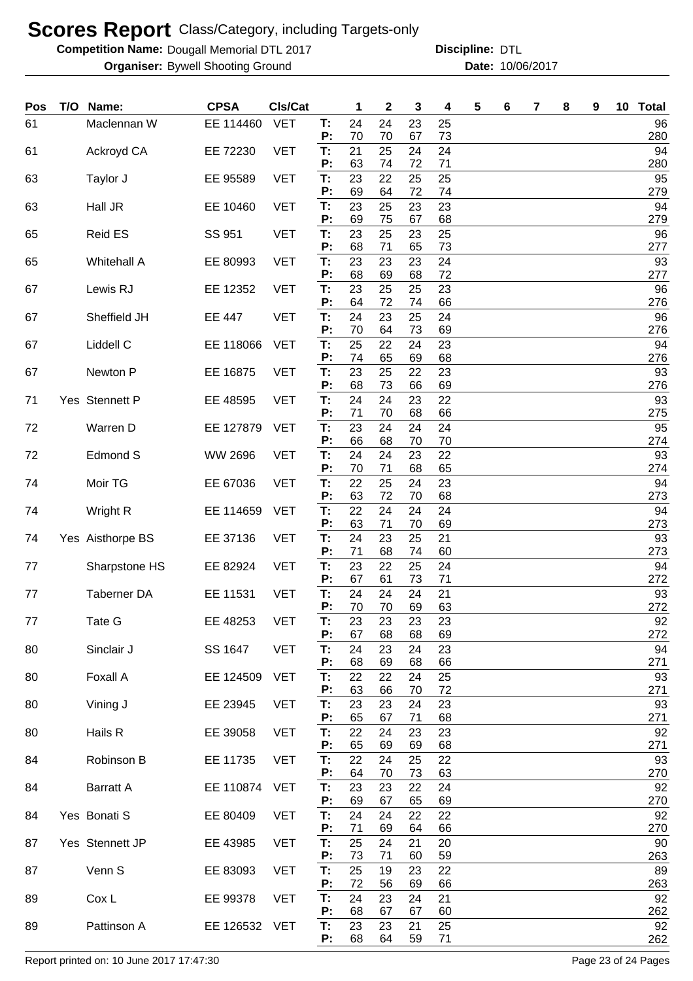**Competition Name: Dougall Memorial DTL 2017 https://www.powerflamerical DTL** 

**Organiser:** Bywell Shooting Ground **10/06/2017 Date:** 10/06/2017 **Discipline:**

| Pos | T/O Name:          | <b>CPSA</b>    | CIs/Cat    |          | 1        | $\mathbf 2$ | 3              | 4        | 5 | 6 | 7 | 8 | 9 | 10 Total  |
|-----|--------------------|----------------|------------|----------|----------|-------------|----------------|----------|---|---|---|---|---|-----------|
| 61  | Maclennan W        | EE 114460      | <b>VET</b> | T:<br>P: | 24<br>70 | 24<br>70    | 23<br>67       | 25<br>73 |   |   |   |   |   | 96<br>280 |
| 61  | Ackroyd CA         | EE 72230       | <b>VET</b> | T.<br>P: | 21<br>63 | 25<br>74    | 24<br>72       | 24<br>71 |   |   |   |   |   | 94<br>280 |
| 63  | Taylor J           | EE 95589       | <b>VET</b> | Т:<br>P: | 23<br>69 | 22<br>64    | 25<br>72       | 25<br>74 |   |   |   |   |   | 95<br>279 |
| 63  | Hall JR            | EE 10460       | <b>VET</b> | Т:       | 23       | 25          | 23             | 23       |   |   |   |   |   | 94        |
| 65  | <b>Reid ES</b>     | SS 951         | <b>VET</b> | P:<br>T: | 69<br>23 | 75<br>25    | 67<br>23       | 68<br>25 |   |   |   |   |   | 279<br>96 |
| 65  | <b>Whitehall A</b> | EE 80993       | <b>VET</b> | P:<br>T: | 68<br>23 | 71<br>23    | 65<br>23       | 73<br>24 |   |   |   |   |   | 277<br>93 |
| 67  | Lewis RJ           | EE 12352       | <b>VET</b> | P:<br>Т: | 68<br>23 | 69<br>25    | 68<br>25       | 72<br>23 |   |   |   |   |   | 277<br>96 |
| 67  | Sheffield JH       | <b>EE 447</b>  | <b>VET</b> | P:<br>T: | 64<br>24 | 72<br>23    | 74<br>25       | 66<br>24 |   |   |   |   |   | 276<br>96 |
| 67  | Liddell C          | EE 118066      | <b>VET</b> | P:<br>Т: | 70<br>25 | 64<br>22    | 73<br>24       | 69<br>23 |   |   |   |   |   | 276<br>94 |
| 67  | Newton P           | EE 16875       | <b>VET</b> | P:<br>T: | 74<br>23 | 65<br>25    | 69<br>22       | 68<br>23 |   |   |   |   |   | 276<br>93 |
|     |                    |                |            | P:       | 68       | 73          | 66             | 69       |   |   |   |   |   | 276       |
| 71  | Yes Stennett P     | EE 48595       | <b>VET</b> | T:<br>P: | 24<br>71 | 24<br>70    | 23<br>68       | 22<br>66 |   |   |   |   |   | 93<br>275 |
| 72  | Warren D           | EE 127879      | <b>VET</b> | T:<br>P: | 23<br>66 | 24<br>68    | 24<br>70       | 24<br>70 |   |   |   |   |   | 95<br>274 |
| 72  | <b>Edmond S</b>    | <b>WW 2696</b> | <b>VET</b> | T:<br>P: | 24<br>70 | 24<br>71    | 23<br>68       | 22<br>65 |   |   |   |   |   | 93<br>274 |
| 74  | Moir TG            | EE 67036       | <b>VET</b> | T:       | 22       | 25          | 24             | 23       |   |   |   |   |   | 94        |
| 74  | Wright R           | EE 114659      | <b>VET</b> | P:<br>T: | 63<br>22 | 72<br>24    | 70<br>24       | 68<br>24 |   |   |   |   |   | 273<br>94 |
| 74  | Yes Aisthorpe BS   | EE 37136       | <b>VET</b> | P:<br>T: | 63<br>24 | 71<br>23    | 70<br>25       | 69<br>21 |   |   |   |   |   | 273<br>93 |
| 77  | Sharpstone HS      | EE 82924       | <b>VET</b> | P:<br>T: | 71<br>23 | 68<br>22    | 74<br>25       | 60<br>24 |   |   |   |   |   | 273<br>94 |
|     |                    |                |            | P:       | 67       | 61          | 73             | 71       |   |   |   |   |   | 272       |
| 77  | <b>Taberner DA</b> | EE 11531       | <b>VET</b> | T:<br>P: | 24<br>70 | 24<br>70    | 24<br>69       | 21<br>63 |   |   |   |   |   | 93<br>272 |
| 77  | Tate G             | EE 48253       | <b>VET</b> | Т:<br>P: | 23<br>67 | 23<br>68    | 23<br>68       | 23<br>69 |   |   |   |   |   | 92<br>272 |
| 80  | Sinclair J         | SS 1647        | <b>VET</b> | T:<br>P: | 24<br>68 | 23<br>69    | 24<br>68       | 23<br>66 |   |   |   |   |   | 94<br>271 |
| 80  | Foxall A           | EE 124509      | <b>VET</b> | Т.<br>P: | 22<br>63 | 22<br>66    | 24<br>70       | 25<br>72 |   |   |   |   |   | 93<br>271 |
| 80  | Vining J           | EE 23945       | <b>VET</b> | Т.       | 23       | 23          | 24             | 23       |   |   |   |   |   | 93        |
| 80  | Hails R            | EE 39058       | <b>VET</b> | P:<br>T: | 65<br>22 | 67<br>24    | 71<br>23       | 68<br>23 |   |   |   |   |   | 271<br>92 |
| 84  | Robinson B         | EE 11735       | <b>VET</b> | P:<br>T: | 65<br>22 | 69<br>24    | 69<br>25       | 68<br>22 |   |   |   |   |   | 271<br>93 |
| 84  | <b>Barratt A</b>   | EE 110874      | <b>VET</b> | P:<br>T: | 64<br>23 | 70<br>23    | 73<br>22       | 63<br>24 |   |   |   |   |   | 270<br>92 |
| 84  | Yes Bonati S       | EE 80409       | <b>VET</b> | P:<br>T: | 69<br>24 | 67<br>24    | 65<br>22       | 69<br>22 |   |   |   |   |   | 270<br>92 |
|     |                    |                |            | P:       | 71       | 69          | 64             | 66       |   |   |   |   |   | 270       |
| 87  | Yes Stennett JP    | EE 43985       | <b>VET</b> | T:<br>P: | 25<br>73 | 24<br>71    | 21<br>60       | 20<br>59 |   |   |   |   |   | 90<br>263 |
| 87  | Venn S             | EE 83093       | <b>VET</b> | T:<br>P: | 25<br>72 | 19<br>56    | 23<br>69       | 22<br>66 |   |   |   |   |   | 89<br>263 |
| 89  | Cox L              | EE 99378       | <b>VET</b> | Т:<br>P: | 24<br>68 | 23<br>67    | 24             | 21<br>60 |   |   |   |   |   | 92<br>262 |
| 89  | Pattinson A        | EE 126532      | VET        | Т:<br>Ρ. | 23<br>68 | 23<br>64    | 67<br>21<br>59 | 25<br>71 |   |   |   |   |   | 92<br>262 |

Report printed on: 10 June 2017 17:47:30 Page 23 of 24 Pages